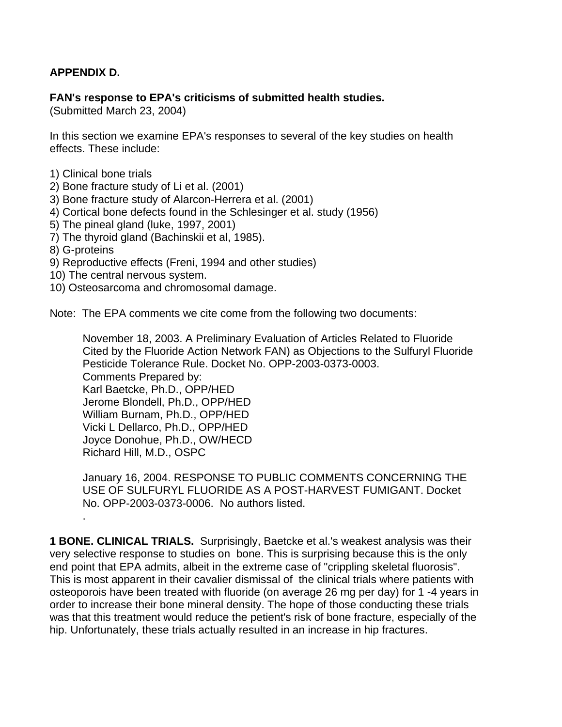# **APPENDIX D.**

#### **FAN's response to EPA's criticisms of submitted health studies.**

(Submitted March 23, 2004)

In this section we examine EPA's responses to several of the key studies on health effects. These include:

- 1) Clinical bone trials
- 2) Bone fracture study of Li et al. (2001)
- 3) Bone fracture study of Alarcon-Herrera et al. (2001)
- 4) Cortical bone defects found in the Schlesinger et al. study (1956)
- 5) The pineal gland (luke, 1997, 2001)
- 7) The thyroid gland (Bachinskii et al, 1985).
- 8) G-proteins

.

- 9) Reproductive effects (Freni, 1994 and other studies)
- 10) The central nervous system.
- 10) Osteosarcoma and chromosomal damage.

Note: The EPA comments we cite come from the following two documents:

November 18, 2003. A Preliminary Evaluation of Articles Related to Fluoride Cited by the Fluoride Action Network FAN) as Objections to the Sulfuryl Fluoride Pesticide Tolerance Rule. Docket No. OPP-2003-0373-0003. Comments Prepared by: Karl Baetcke, Ph.D., OPP/HED Jerome Blondell, Ph.D., OPP/HED William Burnam, Ph.D., OPP/HED Vicki L Dellarco, Ph.D., OPP/HED Joyce Donohue, Ph.D., OW/HECD Richard Hill, M.D., OSPC

January 16, 2004. RESPONSE TO PUBLIC COMMENTS CONCERNING THE USE OF SULFURYL FLUORIDE AS A POST-HARVEST FUMIGANT. Docket No. OPP-2003-0373-0006. No authors listed.

**1 BONE. CLINICAL TRIALS.** Surprisingly, Baetcke et al.'s weakest analysis was their very selective response to studies on bone. This is surprising because this is the only end point that EPA admits, albeit in the extreme case of "crippling skeletal fluorosis". This is most apparent in their cavalier dismissal of the clinical trials where patients with osteoporois have been treated with fluoride (on average 26 mg per day) for 1 -4 years in order to increase their bone mineral density. The hope of those conducting these trials was that this treatment would reduce the petient's risk of bone fracture, especially of the hip. Unfortunately, these trials actually resulted in an increase in hip fractures.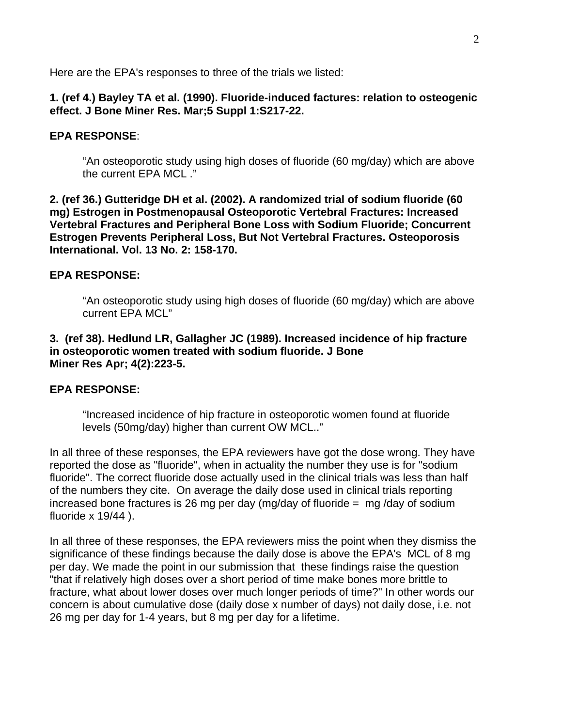Here are the EPA's responses to three of the trials we listed:

#### **1. (ref 4.) Bayley TA et al. (1990). Fluoride-induced factures: relation to osteogenic effect. J Bone Miner Res. Mar;5 Suppl 1:S217-22.**

#### **EPA RESPONSE**:

"An osteoporotic study using high doses of fluoride (60 mg/day) which are above the current EPA MCL ."

**2. (ref 36.) Gutteridge DH et al. (2002). A randomized trial of sodium fluoride (60 mg) Estrogen in Postmenopausal Osteoporotic Vertebral Fractures: Increased Vertebral Fractures and Peripheral Bone Loss with Sodium Fluoride; Concurrent Estrogen Prevents Peripheral Loss, But Not Vertebral Fractures. Osteoporosis International. Vol. 13 No. 2: 158-170.**

#### **EPA RESPONSE:**

"An osteoporotic study using high doses of fluoride (60 mg/day) which are above current EPA MCL"

#### **3. (ref 38). Hedlund LR, Gallagher JC (1989). Increased incidence of hip fracture in osteoporotic women treated with sodium fluoride. J Bone Miner Res Apr; 4(2):223-5.**

## **EPA RESPONSE:**

"Increased incidence of hip fracture in osteoporotic women found at fluoride levels (50mg/day) higher than current OW MCL.."

In all three of these responses, the EPA reviewers have got the dose wrong. They have reported the dose as "fluoride", when in actuality the number they use is for "sodium fluoride". The correct fluoride dose actually used in the clinical trials was less than half of the numbers they cite. On average the daily dose used in clinical trials reporting increased bone fractures is 26 mg per day (mg/day of fluoride = mg /day of sodium fluoride x 19/44 ).

In all three of these responses, the EPA reviewers miss the point when they dismiss the significance of these findings because the daily dose is above the EPA's MCL of 8 mg per day. We made the point in our submission that these findings raise the question "that if relatively high doses over a short period of time make bones more brittle to fracture, what about lower doses over much longer periods of time?" In other words our concern is about cumulative dose (daily dose x number of days) not daily dose, i.e. not 26 mg per day for 1-4 years, but 8 mg per day for a lifetime.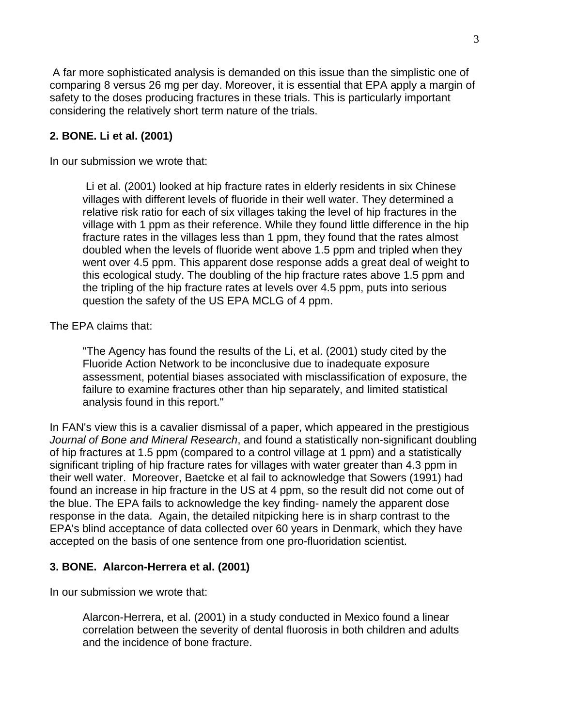A far more sophisticated analysis is demanded on this issue than the simplistic one of comparing 8 versus 26 mg per day. Moreover, it is essential that EPA apply a margin of safety to the doses producing fractures in these trials. This is particularly important considering the relatively short term nature of the trials.

# **2. BONE. Li et al. (2001)**

In our submission we wrote that:

 Li et al. (2001) looked at hip fracture rates in elderly residents in six Chinese villages with different levels of fluoride in their well water. They determined a relative risk ratio for each of six villages taking the level of hip fractures in the village with 1 ppm as their reference. While they found little difference in the hip fracture rates in the villages less than 1 ppm, they found that the rates almost doubled when the levels of fluoride went above 1.5 ppm and tripled when they went over 4.5 ppm. This apparent dose response adds a great deal of weight to this ecological study. The doubling of the hip fracture rates above 1.5 ppm and the tripling of the hip fracture rates at levels over 4.5 ppm, puts into serious question the safety of the US EPA MCLG of 4 ppm.

The EPA claims that:

"The Agency has found the results of the Li, et al. (2001) study cited by the Fluoride Action Network to be inconclusive due to inadequate exposure assessment, potential biases associated with misclassification of exposure, the failure to examine fractures other than hip separately, and limited statistical analysis found in this report."

In FAN's view this is a cavalier dismissal of a paper, which appeared in the prestigious *Journal of Bone and Mineral Research*, and found a statistically non-significant doubling of hip fractures at 1.5 ppm (compared to a control village at 1 ppm) and a statistically significant tripling of hip fracture rates for villages with water greater than 4.3 ppm in their well water. Moreover, Baetcke et al fail to acknowledge that Sowers (1991) had found an increase in hip fracture in the US at 4 ppm, so the result did not come out of the blue. The EPA fails to acknowledge the key finding- namely the apparent dose response in the data. Again, the detailed nitpicking here is in sharp contrast to the EPA's blind acceptance of data collected over 60 years in Denmark, which they have accepted on the basis of one sentence from one pro-fluoridation scientist.

## **3. BONE. Alarcon-Herrera et al. (2001)**

In our submission we wrote that:

Alarcon-Herrera, et al. (2001) in a study conducted in Mexico found a linear correlation between the severity of dental fluorosis in both children and adults and the incidence of bone fracture.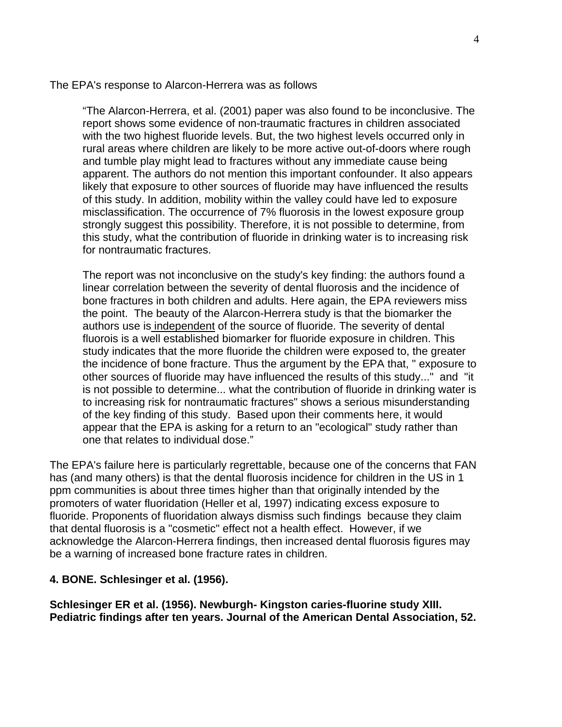The EPA's response to Alarcon-Herrera was as follows

"The Alarcon-Herrera, et al. (2001) paper was also found to be inconclusive. The report shows some evidence of non-traumatic fractures in children associated with the two highest fluoride levels. But, the two highest levels occurred only in rural areas where children are likely to be more active out-of-doors where rough and tumble play might lead to fractures without any immediate cause being apparent. The authors do not mention this important confounder. It also appears likely that exposure to other sources of fluoride may have influenced the results of this study. In addition, mobility within the valley could have led to exposure misclassification. The occurrence of 7% fluorosis in the lowest exposure group strongly suggest this possibility. Therefore, it is not possible to determine, from this study, what the contribution of fluoride in drinking water is to increasing risk for nontraumatic fractures.

The report was not inconclusive on the study's key finding: the authors found a linear correlation between the severity of dental fluorosis and the incidence of bone fractures in both children and adults. Here again, the EPA reviewers miss the point. The beauty of the Alarcon-Herrera study is that the biomarker the authors use is independent of the source of fluoride. The severity of dental fluorois is a well established biomarker for fluoride exposure in children. This study indicates that the more fluoride the children were exposed to, the greater the incidence of bone fracture. Thus the argument by the EPA that, " exposure to other sources of fluoride may have influenced the results of this study..." and "it is not possible to determine... what the contribution of fluoride in drinking water is to increasing risk for nontraumatic fractures" shows a serious misunderstanding of the key finding of this study. Based upon their comments here, it would appear that the EPA is asking for a return to an "ecological" study rather than one that relates to individual dose."

The EPA's failure here is particularly regrettable, because one of the concerns that FAN has (and many others) is that the dental fluorosis incidence for children in the US in 1 ppm communities is about three times higher than that originally intended by the promoters of water fluoridation (Heller et al, 1997) indicating excess exposure to fluoride. Proponents of fluoridation always dismiss such findings because they claim that dental fluorosis is a "cosmetic" effect not a health effect. However, if we acknowledge the Alarcon-Herrera findings, then increased dental fluorosis figures may be a warning of increased bone fracture rates in children.

#### **4. BONE. Schlesinger et al. (1956).**

**Schlesinger ER et al. (1956). Newburgh- Kingston caries-fluorine study XIII. Pediatric findings after ten years. Journal of the American Dental Association, 52.**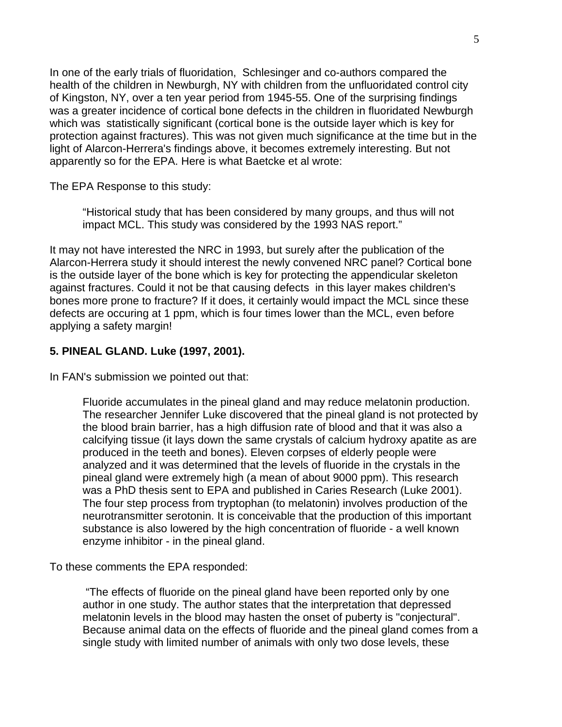In one of the early trials of fluoridation, Schlesinger and co-authors compared the health of the children in Newburgh, NY with children from the unfluoridated control city of Kingston, NY, over a ten year period from 1945-55. One of the surprising findings was a greater incidence of cortical bone defects in the children in fluoridated Newburgh which was statistically significant (cortical bone is the outside layer which is key for protection against fractures). This was not given much significance at the time but in the light of Alarcon-Herrera's findings above, it becomes extremely interesting. But not apparently so for the EPA. Here is what Baetcke et al wrote:

The EPA Response to this study:

"Historical study that has been considered by many groups, and thus will not impact MCL. This study was considered by the 1993 NAS report."

It may not have interested the NRC in 1993, but surely after the publication of the Alarcon-Herrera study it should interest the newly convened NRC panel? Cortical bone is the outside layer of the bone which is key for protecting the appendicular skeleton against fractures. Could it not be that causing defects in this layer makes children's bones more prone to fracture? If it does, it certainly would impact the MCL since these defects are occuring at 1 ppm, which is four times lower than the MCL, even before applying a safety margin!

# **5. PINEAL GLAND. Luke (1997, 2001).**

In FAN's submission we pointed out that:

Fluoride accumulates in the pineal gland and may reduce melatonin production. The researcher Jennifer Luke discovered that the pineal gland is not protected by the blood brain barrier, has a high diffusion rate of blood and that it was also a calcifying tissue (it lays down the same crystals of calcium hydroxy apatite as are produced in the teeth and bones). Eleven corpses of elderly people were analyzed and it was determined that the levels of fluoride in the crystals in the pineal gland were extremely high (a mean of about 9000 ppm). This research was a PhD thesis sent to EPA and published in Caries Research (Luke 2001). The four step process from tryptophan (to melatonin) involves production of the neurotransmitter serotonin. It is conceivable that the production of this important substance is also lowered by the high concentration of fluoride - a well known enzyme inhibitor - in the pineal gland.

To these comments the EPA responded:

 "The effects of fluoride on the pineal gland have been reported only by one author in one study. The author states that the interpretation that depressed melatonin levels in the blood may hasten the onset of puberty is "conjectural". Because animal data on the effects of fluoride and the pineal gland comes from a single study with limited number of animals with only two dose levels, these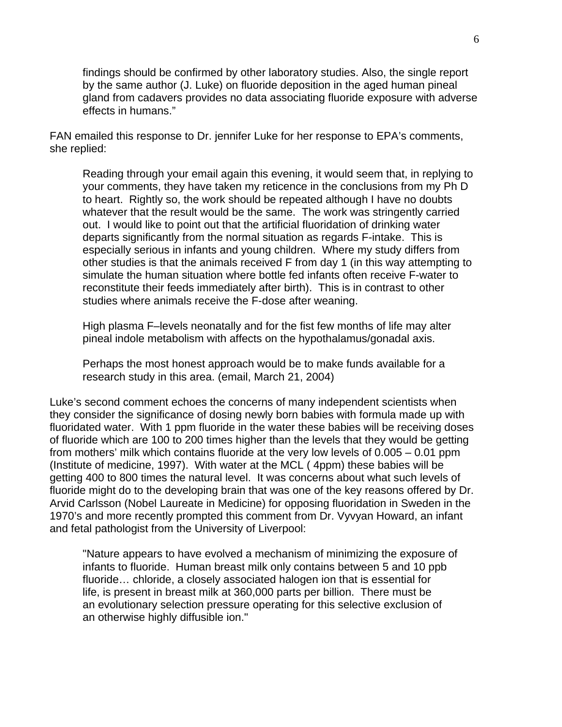findings should be confirmed by other laboratory studies. Also, the single report by the same author (J. Luke) on fluoride deposition in the aged human pineal gland from cadavers provides no data associating fluoride exposure with adverse effects in humans."

FAN emailed this response to Dr. jennifer Luke for her response to EPA's comments, she replied:

Reading through your email again this evening, it would seem that, in replying to your comments, they have taken my reticence in the conclusions from my Ph D to heart. Rightly so, the work should be repeated although I have no doubts whatever that the result would be the same. The work was stringently carried out. I would like to point out that the artificial fluoridation of drinking water departs significantly from the normal situation as regards F-intake. This is especially serious in infants and young children. Where my study differs from other studies is that the animals received F from day 1 (in this way attempting to simulate the human situation where bottle fed infants often receive F-water to reconstitute their feeds immediately after birth). This is in contrast to other studies where animals receive the F-dose after weaning.

High plasma F–levels neonatally and for the fist few months of life may alter pineal indole metabolism with affects on the hypothalamus/gonadal axis.

Perhaps the most honest approach would be to make funds available for a research study in this area. (email, March 21, 2004)

Luke's second comment echoes the concerns of many independent scientists when they consider the significance of dosing newly born babies with formula made up with fluoridated water. With 1 ppm fluoride in the water these babies will be receiving doses of fluoride which are 100 to 200 times higher than the levels that they would be getting from mothers' milk which contains fluoride at the very low levels of 0.005 – 0.01 ppm (Institute of medicine, 1997). With water at the MCL ( 4ppm) these babies will be getting 400 to 800 times the natural level. It was concerns about what such levels of fluoride might do to the developing brain that was one of the key reasons offered by Dr. Arvid Carlsson (Nobel Laureate in Medicine) for opposing fluoridation in Sweden in the 1970's and more recently prompted this comment from Dr. Vyvyan Howard, an infant and fetal pathologist from the University of Liverpool:

"Nature appears to have evolved a mechanism of minimizing the exposure of infants to fluoride. Human breast milk only contains between 5 and 10 ppb fluoride… chloride, a closely associated halogen ion that is essential for life, is present in breast milk at 360,000 parts per billion. There must be an evolutionary selection pressure operating for this selective exclusion of an otherwise highly diffusible ion."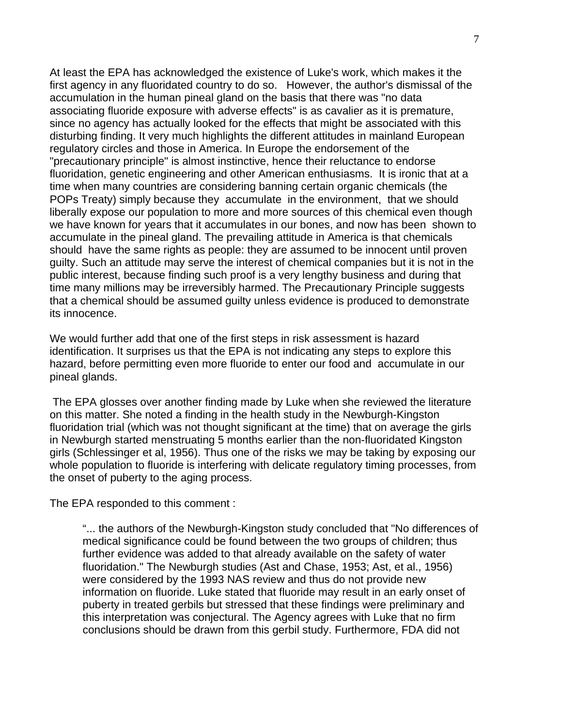At least the EPA has acknowledged the existence of Luke's work, which makes it the first agency in any fluoridated country to do so. However, the author's dismissal of the accumulation in the human pineal gland on the basis that there was "no data associating fluoride exposure with adverse effects" is as cavalier as it is premature, since no agency has actually looked for the effects that might be associated with this disturbing finding. It very much highlights the different attitudes in mainland European regulatory circles and those in America. In Europe the endorsement of the "precautionary principle" is almost instinctive, hence their reluctance to endorse fluoridation, genetic engineering and other American enthusiasms. It is ironic that at a time when many countries are considering banning certain organic chemicals (the POPs Treaty) simply because they accumulate in the environment, that we should liberally expose our population to more and more sources of this chemical even though we have known for years that it accumulates in our bones, and now has been shown to accumulate in the pineal gland. The prevailing attitude in America is that chemicals should have the same rights as people: they are assumed to be innocent until proven guilty. Such an attitude may serve the interest of chemical companies but it is not in the public interest, because finding such proof is a very lengthy business and during that time many millions may be irreversibly harmed. The Precautionary Principle suggests that a chemical should be assumed guilty unless evidence is produced to demonstrate its innocence.

We would further add that one of the first steps in risk assessment is hazard identification. It surprises us that the EPA is not indicating any steps to explore this hazard, before permitting even more fluoride to enter our food and accumulate in our pineal glands.

 The EPA glosses over another finding made by Luke when she reviewed the literature on this matter. She noted a finding in the health study in the Newburgh-Kingston fluoridation trial (which was not thought significant at the time) that on average the girls in Newburgh started menstruating 5 months earlier than the non-fluoridated Kingston girls (Schlessinger et al, 1956). Thus one of the risks we may be taking by exposing our whole population to fluoride is interfering with delicate regulatory timing processes, from the onset of puberty to the aging process.

The EPA responded to this comment :

"... the authors of the Newburgh-Kingston study concluded that "No differences of medical significance could be found between the two groups of children; thus further evidence was added to that already available on the safety of water fluoridation." The Newburgh studies (Ast and Chase, 1953; Ast, et al., 1956) were considered by the 1993 NAS review and thus do not provide new information on fluoride. Luke stated that fluoride may result in an early onset of puberty in treated gerbils but stressed that these findings were preliminary and this interpretation was conjectural. The Agency agrees with Luke that no firm conclusions should be drawn from this gerbil study. Furthermore, FDA did not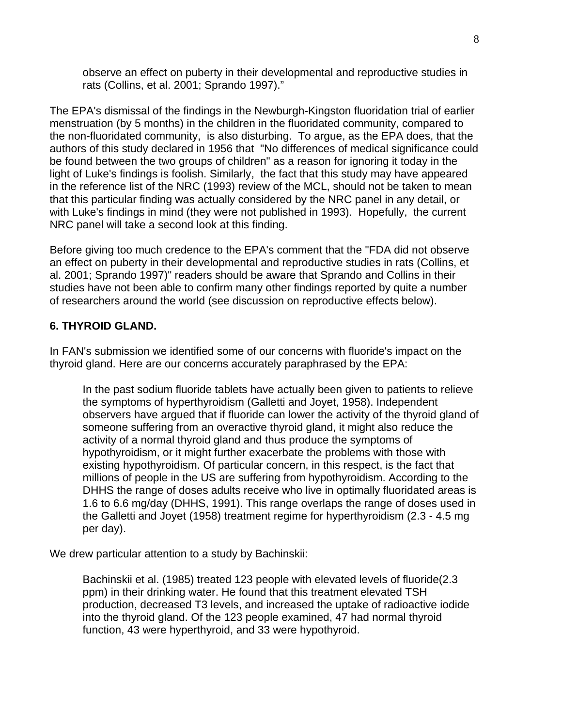observe an effect on puberty in their developmental and reproductive studies in rats (Collins, et al. 2001; Sprando 1997)."

The EPA's dismissal of the findings in the Newburgh-Kingston fluoridation trial of earlier menstruation (by 5 months) in the children in the fluoridated community, compared to the non-fluoridated community, is also disturbing. To argue, as the EPA does, that the authors of this study declared in 1956 that "No differences of medical significance could be found between the two groups of children" as a reason for ignoring it today in the light of Luke's findings is foolish. Similarly, the fact that this study may have appeared in the reference list of the NRC (1993) review of the MCL, should not be taken to mean that this particular finding was actually considered by the NRC panel in any detail, or with Luke's findings in mind (they were not published in 1993). Hopefully, the current NRC panel will take a second look at this finding.

Before giving too much credence to the EPA's comment that the "FDA did not observe an effect on puberty in their developmental and reproductive studies in rats (Collins, et al. 2001; Sprando 1997)" readers should be aware that Sprando and Collins in their studies have not been able to confirm many other findings reported by quite a number of researchers around the world (see discussion on reproductive effects below).

# **6. THYROID GLAND.**

In FAN's submission we identified some of our concerns with fluoride's impact on the thyroid gland. Here are our concerns accurately paraphrased by the EPA:

In the past sodium fluoride tablets have actually been given to patients to relieve the symptoms of hyperthyroidism (Galletti and Joyet, 1958). Independent observers have argued that if fluoride can lower the activity of the thyroid gland of someone suffering from an overactive thyroid gland, it might also reduce the activity of a normal thyroid gland and thus produce the symptoms of hypothyroidism, or it might further exacerbate the problems with those with existing hypothyroidism. Of particular concern, in this respect, is the fact that millions of people in the US are suffering from hypothyroidism. According to the DHHS the range of doses adults receive who live in optimally fluoridated areas is 1.6 to 6.6 mg/day (DHHS, 1991). This range overlaps the range of doses used in the Galletti and Joyet (1958) treatment regime for hyperthyroidism (2.3 - 4.5 mg per day).

We drew particular attention to a study by Bachinskii:

Bachinskii et al. (1985) treated 123 people with elevated levels of fluoride(2.3 ppm) in their drinking water. He found that this treatment elevated TSH production, decreased T3 levels, and increased the uptake of radioactive iodide into the thyroid gland. Of the 123 people examined, 47 had normal thyroid function, 43 were hyperthyroid, and 33 were hypothyroid.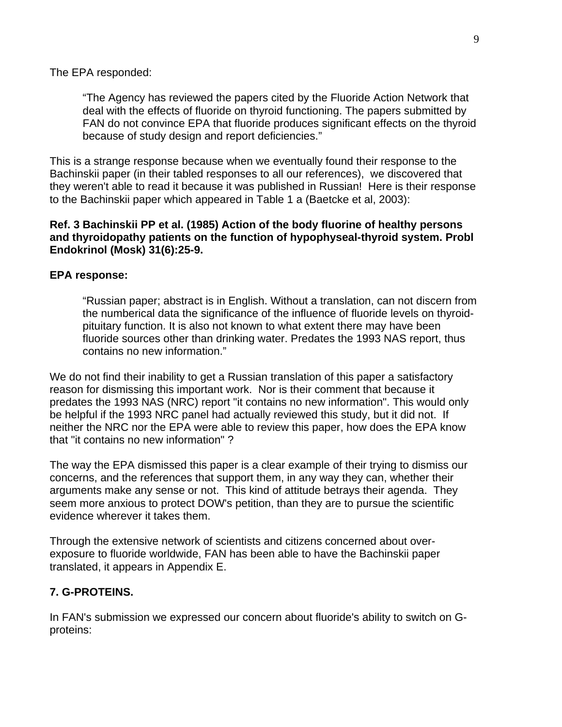The EPA responded:

"The Agency has reviewed the papers cited by the Fluoride Action Network that deal with the effects of fluoride on thyroid functioning. The papers submitted by FAN do not convince EPA that fluoride produces significant effects on the thyroid because of study design and report deficiencies."

This is a strange response because when we eventually found their response to the Bachinskii paper (in their tabled responses to all our references), we discovered that they weren't able to read it because it was published in Russian! Here is their response to the Bachinskii paper which appeared in Table 1 a (Baetcke et al, 2003):

#### **Ref. 3 Bachinskii PP et al. (1985) Action of the body fluorine of healthy persons and thyroidopathy patients on the function of hypophyseal-thyroid system. Probl Endokrinol (Mosk) 31(6):25-9.**

#### **EPA response:**

"Russian paper; abstract is in English. Without a translation, can not discern from the numberical data the significance of the influence of fluoride levels on thyroidpituitary function. It is also not known to what extent there may have been fluoride sources other than drinking water. Predates the 1993 NAS report, thus contains no new information."

We do not find their inability to get a Russian translation of this paper a satisfactory reason for dismissing this important work. Nor is their comment that because it predates the 1993 NAS (NRC) report "it contains no new information". This would only be helpful if the 1993 NRC panel had actually reviewed this study, but it did not. If neither the NRC nor the EPA were able to review this paper, how does the EPA know that "it contains no new information" ?

The way the EPA dismissed this paper is a clear example of their trying to dismiss our concerns, and the references that support them, in any way they can, whether their arguments make any sense or not. This kind of attitude betrays their agenda. They seem more anxious to protect DOW's petition, than they are to pursue the scientific evidence wherever it takes them.

Through the extensive network of scientists and citizens concerned about overexposure to fluoride worldwide, FAN has been able to have the Bachinskii paper translated, it appears in Appendix E.

## **7. G-PROTEINS.**

In FAN's submission we expressed our concern about fluoride's ability to switch on Gproteins: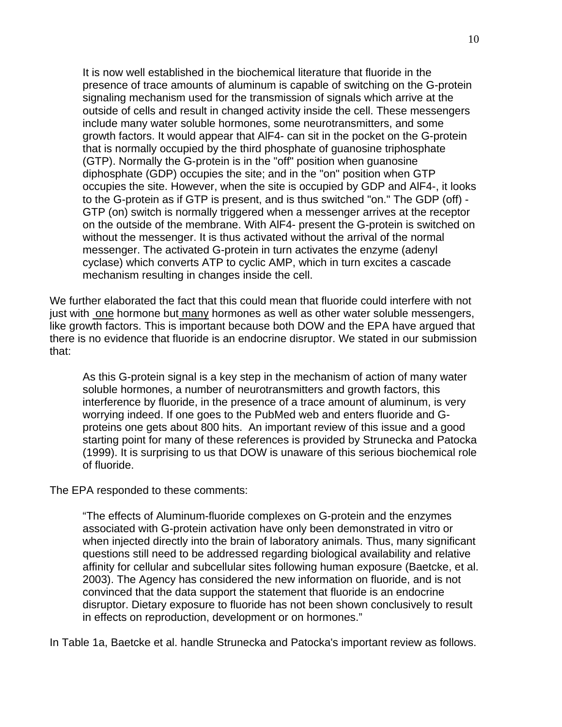It is now well established in the biochemical literature that fluoride in the presence of trace amounts of aluminum is capable of switching on the G-protein signaling mechanism used for the transmission of signals which arrive at the outside of cells and result in changed activity inside the cell. These messengers include many water soluble hormones, some neurotransmitters, and some growth factors. It would appear that AlF4- can sit in the pocket on the G-protein that is normally occupied by the third phosphate of guanosine triphosphate (GTP). Normally the G-protein is in the "off" position when guanosine diphosphate (GDP) occupies the site; and in the "on" position when GTP occupies the site. However, when the site is occupied by GDP and AlF4-, it looks to the G-protein as if GTP is present, and is thus switched "on." The GDP (off) - GTP (on) switch is normally triggered when a messenger arrives at the receptor on the outside of the membrane. With AlF4- present the G-protein is switched on without the messenger. It is thus activated without the arrival of the normal messenger. The activated G-protein in turn activates the enzyme (adenyl cyclase) which converts ATP to cyclic AMP, which in turn excites a cascade mechanism resulting in changes inside the cell.

We further elaborated the fact that this could mean that fluoride could interfere with not just with one hormone but many hormones as well as other water soluble messengers, like growth factors. This is important because both DOW and the EPA have argued that there is no evidence that fluoride is an endocrine disruptor. We stated in our submission that:

As this G-protein signal is a key step in the mechanism of action of many water soluble hormones, a number of neurotransmitters and growth factors, this interference by fluoride, in the presence of a trace amount of aluminum, is very worrying indeed. If one goes to the PubMed web and enters fluoride and Gproteins one gets about 800 hits. An important review of this issue and a good starting point for many of these references is provided by Strunecka and Patocka (1999). It is surprising to us that DOW is unaware of this serious biochemical role of fluoride.

The EPA responded to these comments:

"The effects of Aluminum-fluoride complexes on G-protein and the enzymes associated with G-protein activation have only been demonstrated in vitro or when injected directly into the brain of laboratory animals. Thus, many significant questions still need to be addressed regarding biological availability and relative affinity for cellular and subcellular sites following human exposure (Baetcke, et al. 2003). The Agency has considered the new information on fluoride, and is not convinced that the data support the statement that fluoride is an endocrine disruptor. Dietary exposure to fluoride has not been shown conclusively to result in effects on reproduction, development or on hormones."

In Table 1a, Baetcke et al. handle Strunecka and Patocka's important review as follows.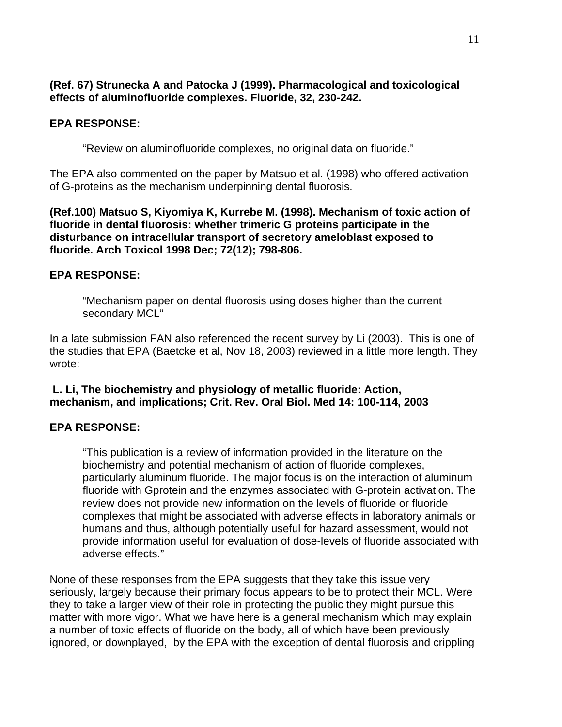# **(Ref. 67) Strunecka A and Patocka J (1999). Pharmacological and toxicological effects of aluminofluoride complexes. Fluoride, 32, 230-242.**

# **EPA RESPONSE:**

"Review on aluminofluoride complexes, no original data on fluoride."

The EPA also commented on the paper by Matsuo et al. (1998) who offered activation of G-proteins as the mechanism underpinning dental fluorosis.

**(Ref.100) Matsuo S, Kiyomiya K, Kurrebe M. (1998). Mechanism of toxic action of fluoride in dental fluorosis: whether trimeric G proteins participate in the disturbance on intracellular transport of secretory ameloblast exposed to fluoride. Arch Toxicol 1998 Dec; 72(12); 798-806.**

## **EPA RESPONSE:**

"Mechanism paper on dental fluorosis using doses higher than the current secondary MCL"

In a late submission FAN also referenced the recent survey by Li (2003). This is one of the studies that EPA (Baetcke et al, Nov 18, 2003) reviewed in a little more length. They wrote:

## **L. Li, The biochemistry and physiology of metallic fluoride: Action, mechanism, and implications; Crit. Rev. Oral Biol. Med 14: 100-114, 2003**

## **EPA RESPONSE:**

"This publication is a review of information provided in the literature on the biochemistry and potential mechanism of action of fluoride complexes, particularly aluminum fluoride. The major focus is on the interaction of aluminum fluoride with Gprotein and the enzymes associated with G-protein activation. The review does not provide new information on the levels of fluoride or fluoride complexes that might be associated with adverse effects in laboratory animals or humans and thus, although potentially useful for hazard assessment, would not provide information useful for evaluation of dose-levels of fluoride associated with adverse effects."

None of these responses from the EPA suggests that they take this issue very seriously, largely because their primary focus appears to be to protect their MCL. Were they to take a larger view of their role in protecting the public they might pursue this matter with more vigor. What we have here is a general mechanism which may explain a number of toxic effects of fluoride on the body, all of which have been previously ignored, or downplayed, by the EPA with the exception of dental fluorosis and crippling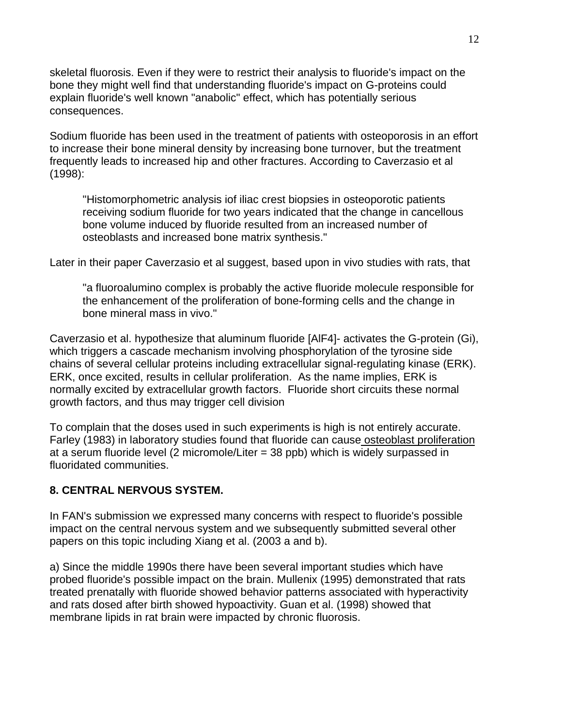skeletal fluorosis. Even if they were to restrict their analysis to fluoride's impact on the bone they might well find that understanding fluoride's impact on G-proteins could explain fluoride's well known "anabolic" effect, which has potentially serious consequences.

Sodium fluoride has been used in the treatment of patients with osteoporosis in an effort to increase their bone mineral density by increasing bone turnover, but the treatment frequently leads to increased hip and other fractures. According to Caverzasio et al (1998):

"Histomorphometric analysis iof iliac crest biopsies in osteoporotic patients receiving sodium fluoride for two years indicated that the change in cancellous bone volume induced by fluoride resulted from an increased number of osteoblasts and increased bone matrix synthesis."

Later in their paper Caverzasio et al suggest, based upon in vivo studies with rats, that

"a fluoroalumino complex is probably the active fluoride molecule responsible for the enhancement of the proliferation of bone-forming cells and the change in bone mineral mass in vivo."

Caverzasio et al. hypothesize that aluminum fluoride [AlF4]- activates the G-protein (Gi), which triggers a cascade mechanism involving phosphorylation of the tyrosine side chains of several cellular proteins including extracellular signal-regulating kinase (ERK). ERK, once excited, results in cellular proliferation. As the name implies, ERK is normally excited by extracellular growth factors. Fluoride short circuits these normal growth factors, and thus may trigger cell division

To complain that the doses used in such experiments is high is not entirely accurate. Farley (1983) in laboratory studies found that fluoride can cause osteoblast proliferation at a serum fluoride level (2 micromole/Liter = 38 ppb) which is widely surpassed in fluoridated communities.

## **8. CENTRAL NERVOUS SYSTEM.**

In FAN's submission we expressed many concerns with respect to fluoride's possible impact on the central nervous system and we subsequently submitted several other papers on this topic including Xiang et al. (2003 a and b).

a) Since the middle 1990s there have been several important studies which have probed fluoride's possible impact on the brain. Mullenix (1995) demonstrated that rats treated prenatally with fluoride showed behavior patterns associated with hyperactivity and rats dosed after birth showed hypoactivity. Guan et al. (1998) showed that membrane lipids in rat brain were impacted by chronic fluorosis.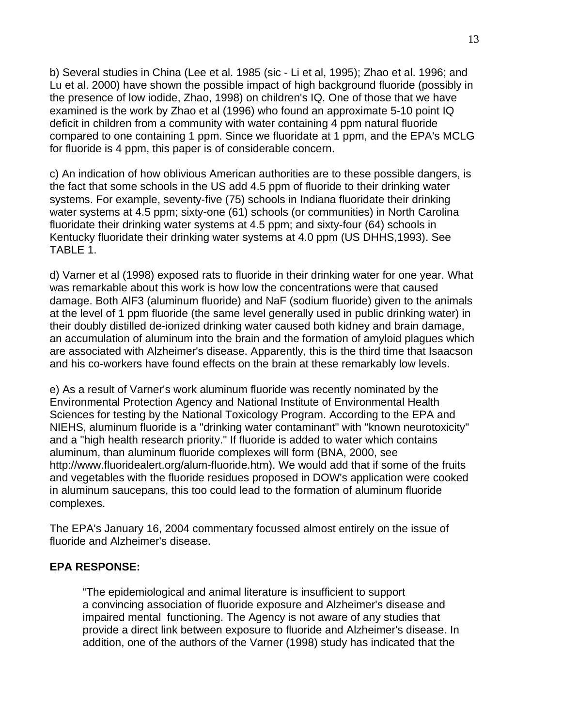b) Several studies in China (Lee et al. 1985 (sic - Li et al, 1995); Zhao et al. 1996; and Lu et al. 2000) have shown the possible impact of high background fluoride (possibly in the presence of low iodide, Zhao, 1998) on children's IQ. One of those that we have examined is the work by Zhao et al (1996) who found an approximate 5-10 point IQ deficit in children from a community with water containing 4 ppm natural fluoride compared to one containing 1 ppm. Since we fluoridate at 1 ppm, and the EPA's MCLG for fluoride is 4 ppm, this paper is of considerable concern.

c) An indication of how oblivious American authorities are to these possible dangers, is the fact that some schools in the US add 4.5 ppm of fluoride to their drinking water systems. For example, seventy-five (75) schools in Indiana fluoridate their drinking water systems at 4.5 ppm; sixty-one (61) schools (or communities) in North Carolina fluoridate their drinking water systems at 4.5 ppm; and sixty-four (64) schools in Kentucky fluoridate their drinking water systems at 4.0 ppm (US DHHS,1993). See TABLE 1.

d) Varner et al (1998) exposed rats to fluoride in their drinking water for one year. What was remarkable about this work is how low the concentrations were that caused damage. Both AlF3 (aluminum fluoride) and NaF (sodium fluoride) given to the animals at the level of 1 ppm fluoride (the same level generally used in public drinking water) in their doubly distilled de-ionized drinking water caused both kidney and brain damage, an accumulation of aluminum into the brain and the formation of amyloid plagues which are associated with Alzheimer's disease. Apparently, this is the third time that Isaacson and his co-workers have found effects on the brain at these remarkably low levels.

e) As a result of Varner's work aluminum fluoride was recently nominated by the Environmental Protection Agency and National Institute of Environmental Health Sciences for testing by the National Toxicology Program. According to the EPA and NIEHS, aluminum fluoride is a "drinking water contaminant" with "known neurotoxicity" and a "high health research priority." If fluoride is added to water which contains aluminum, than aluminum fluoride complexes will form (BNA, 2000, see http://www.fluoridealert.org/alum-fluoride.htm). We would add that if some of the fruits and vegetables with the fluoride residues proposed in DOW's application were cooked in aluminum saucepans, this too could lead to the formation of aluminum fluoride complexes.

The EPA's January 16, 2004 commentary focussed almost entirely on the issue of fluoride and Alzheimer's disease.

## **EPA RESPONSE:**

"The epidemiological and animal literature is insufficient to support a convincing association of fluoride exposure and Alzheimer's disease and impaired mental functioning. The Agency is not aware of any studies that provide a direct link between exposure to fluoride and Alzheimer's disease. In addition, one of the authors of the Varner (1998) study has indicated that the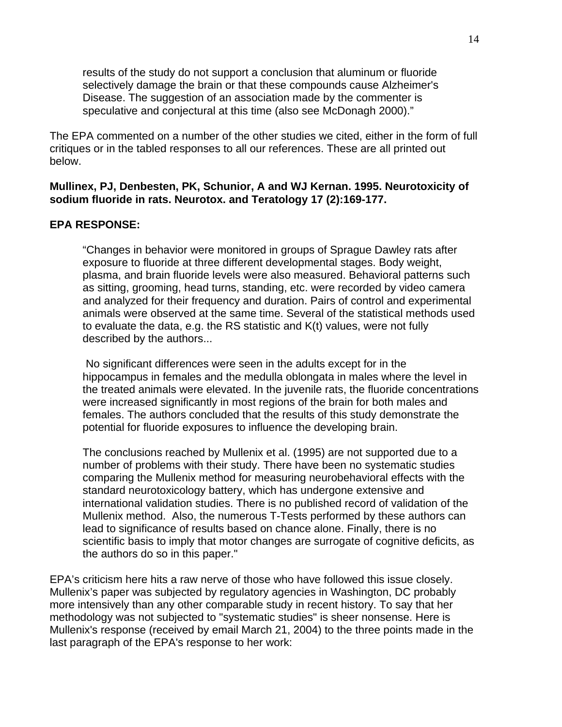results of the study do not support a conclusion that aluminum or fluoride selectively damage the brain or that these compounds cause Alzheimer's Disease. The suggestion of an association made by the commenter is speculative and conjectural at this time (also see McDonagh 2000)."

The EPA commented on a number of the other studies we cited, either in the form of full critiques or in the tabled responses to all our references. These are all printed out below.

#### **Mullinex, PJ, Denbesten, PK, Schunior, A and WJ Kernan. 1995. Neurotoxicity of sodium fluoride in rats. Neurotox. and Teratology 17 (2):169-177.**

#### **EPA RESPONSE:**

"Changes in behavior were monitored in groups of Sprague Dawley rats after exposure to fluoride at three different developmental stages. Body weight, plasma, and brain fluoride levels were also measured. Behavioral patterns such as sitting, grooming, head turns, standing, etc. were recorded by video camera and analyzed for their frequency and duration. Pairs of control and experimental animals were observed at the same time. Several of the statistical methods used to evaluate the data, e.g. the RS statistic and K(t) values, were not fully described by the authors...

 No significant differences were seen in the adults except for in the hippocampus in females and the medulla oblongata in males where the level in the treated animals were elevated. In the juvenile rats, the fluoride concentrations were increased significantly in most regions of the brain for both males and females. The authors concluded that the results of this study demonstrate the potential for fluoride exposures to influence the developing brain.

The conclusions reached by Mullenix et al. (1995) are not supported due to a number of problems with their study. There have been no systematic studies comparing the Mullenix method for measuring neurobehavioral effects with the standard neurotoxicology battery, which has undergone extensive and international validation studies. There is no published record of validation of the Mullenix method. Also, the numerous T-Tests performed by these authors can lead to significance of results based on chance alone. Finally, there is no scientific basis to imply that motor changes are surrogate of cognitive deficits, as the authors do so in this paper."

EPA's criticism here hits a raw nerve of those who have followed this issue closely. Mullenix's paper was subjected by regulatory agencies in Washington, DC probably more intensively than any other comparable study in recent history. To say that her methodology was not subjected to "systematic studies" is sheer nonsense. Here is Mullenix's response (received by email March 21, 2004) to the three points made in the last paragraph of the EPA's response to her work: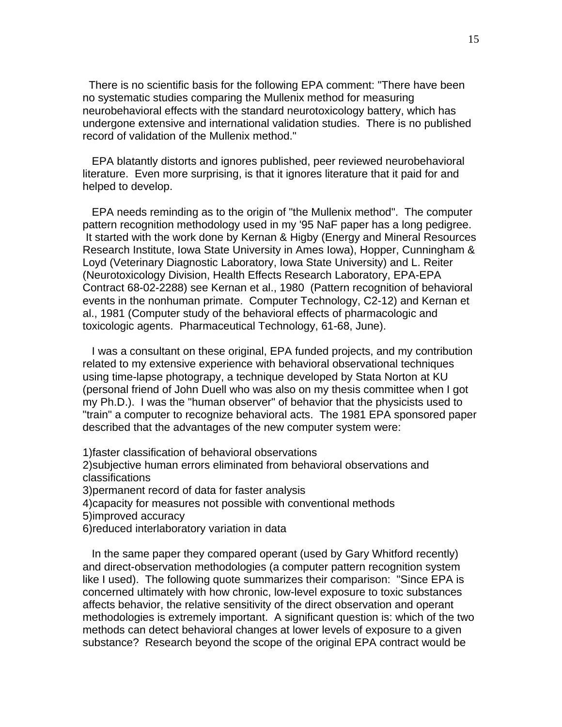There is no scientific basis for the following EPA comment: "There have been no systematic studies comparing the Mullenix method for measuring neurobehavioral effects with the standard neurotoxicology battery, which has undergone extensive and international validation studies. There is no published record of validation of the Mullenix method."

 EPA blatantly distorts and ignores published, peer reviewed neurobehavioral literature. Even more surprising, is that it ignores literature that it paid for and helped to develop.

 EPA needs reminding as to the origin of "the Mullenix method". The computer pattern recognition methodology used in my '95 NaF paper has a long pedigree. It started with the work done by Kernan & Higby (Energy and Mineral Resources Research Institute, Iowa State University in Ames Iowa), Hopper, Cunningham & Loyd (Veterinary Diagnostic Laboratory, Iowa State University) and L. Reiter (Neurotoxicology Division, Health Effects Research Laboratory, EPA-EPA Contract 68-02-2288) see Kernan et al., 1980 (Pattern recognition of behavioral events in the nonhuman primate. Computer Technology, C2-12) and Kernan et al., 1981 (Computer study of the behavioral effects of pharmacologic and toxicologic agents. Pharmaceutical Technology, 61-68, June).

 I was a consultant on these original, EPA funded projects, and my contribution related to my extensive experience with behavioral observational techniques using time-lapse photograpy, a technique developed by Stata Norton at KU (personal friend of John Duell who was also on my thesis committee when I got my Ph.D.). I was the "human observer" of behavior that the physicists used to "train" a computer to recognize behavioral acts. The 1981 EPA sponsored paper described that the advantages of the new computer system were:

1)faster classification of behavioral observations

2)subjective human errors eliminated from behavioral observations and classifications

3)permanent record of data for faster analysis

4)capacity for measures not possible with conventional methods

5)improved accuracy

6)reduced interlaboratory variation in data

 In the same paper they compared operant (used by Gary Whitford recently) and direct-observation methodologies (a computer pattern recognition system like I used). The following quote summarizes their comparison: "Since EPA is concerned ultimately with how chronic, low-level exposure to toxic substances affects behavior, the relative sensitivity of the direct observation and operant methodologies is extremely important. A significant question is: which of the two methods can detect behavioral changes at lower levels of exposure to a given substance? Research beyond the scope of the original EPA contract would be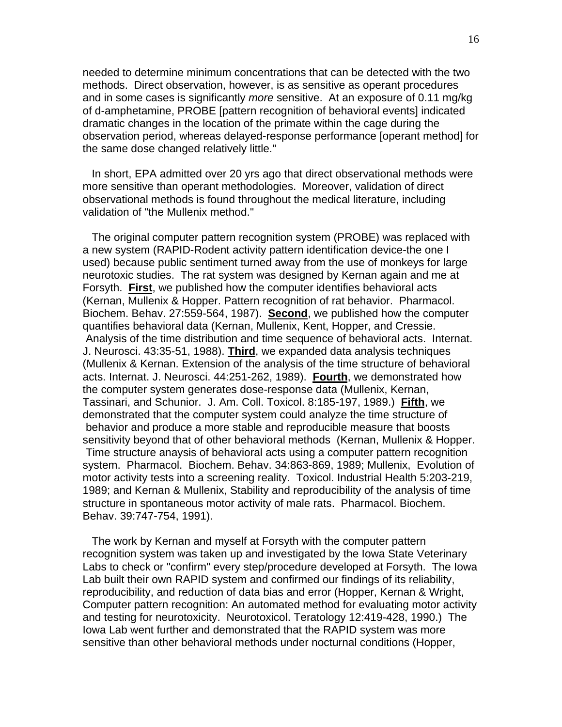needed to determine minimum concentrations that can be detected with the two methods. Direct observation, however, is as sensitive as operant procedures and in some cases is significantly *more* sensitive. At an exposure of 0.11 mg/kg of d-amphetamine, PROBE [pattern recognition of behavioral events] indicated dramatic changes in the location of the primate within the cage during the observation period, whereas delayed-response performance [operant method] for the same dose changed relatively little."

 In short, EPA admitted over 20 yrs ago that direct observational methods were more sensitive than operant methodologies. Moreover, validation of direct observational methods is found throughout the medical literature, including validation of "the Mullenix method."

 The original computer pattern recognition system (PROBE) was replaced with a new system (RAPID-Rodent activity pattern identification device-the one I used) because public sentiment turned away from the use of monkeys for large neurotoxic studies. The rat system was designed by Kernan again and me at Forsyth. **First**, we published how the computer identifies behavioral acts (Kernan, Mullenix & Hopper. Pattern recognition of rat behavior. Pharmacol. Biochem. Behav. 27:559-564, 1987). **Second**, we published how the computer quantifies behavioral data (Kernan, Mullenix, Kent, Hopper, and Cressie. Analysis of the time distribution and time sequence of behavioral acts. Internat. J. Neurosci. 43:35-51, 1988). **Third**, we expanded data analysis techniques (Mullenix & Kernan. Extension of the analysis of the time structure of behavioral acts. Internat. J. Neurosci. 44:251-262, 1989). **Fourth**, we demonstrated how the computer system generates dose-response data (Mullenix, Kernan, Tassinari, and Schunior. J. Am. Coll. Toxicol. 8:185-197, 1989.) **Fifth**, we demonstrated that the computer system could analyze the time structure of behavior and produce a more stable and reproducible measure that boosts sensitivity beyond that of other behavioral methods (Kernan, Mullenix & Hopper. Time structure anaysis of behavioral acts using a computer pattern recognition system. Pharmacol. Biochem. Behav. 34:863-869, 1989; Mullenix, Evolution of motor activity tests into a screening reality. Toxicol. Industrial Health 5:203-219, 1989; and Kernan & Mullenix, Stability and reproducibility of the analysis of time structure in spontaneous motor activity of male rats. Pharmacol. Biochem. Behav. 39:747-754, 1991).

 The work by Kernan and myself at Forsyth with the computer pattern recognition system was taken up and investigated by the Iowa State Veterinary Labs to check or "confirm" every step/procedure developed at Forsyth. The Iowa Lab built their own RAPID system and confirmed our findings of its reliability, reproducibility, and reduction of data bias and error (Hopper, Kernan & Wright, Computer pattern recognition: An automated method for evaluating motor activity and testing for neurotoxicity. Neurotoxicol. Teratology 12:419-428, 1990.) The Iowa Lab went further and demonstrated that the RAPID system was more sensitive than other behavioral methods under nocturnal conditions (Hopper,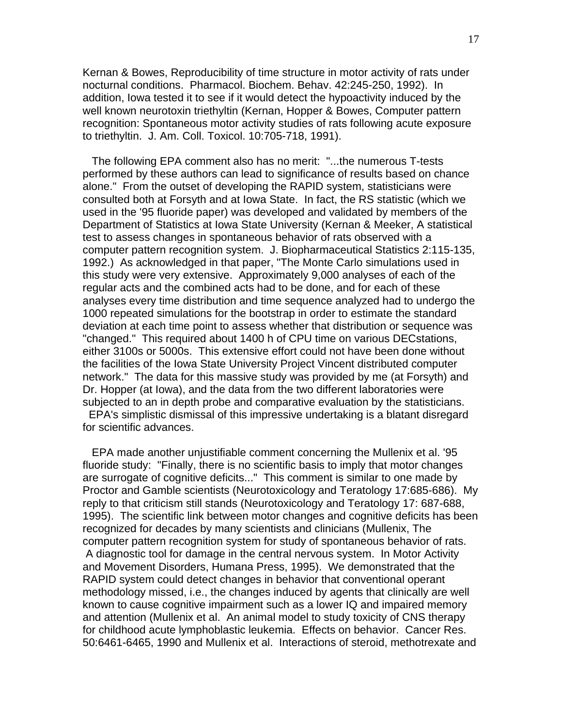Kernan & Bowes, Reproducibility of time structure in motor activity of rats under nocturnal conditions. Pharmacol. Biochem. Behav. 42:245-250, 1992). In addition, Iowa tested it to see if it would detect the hypoactivity induced by the well known neurotoxin triethyltin (Kernan, Hopper & Bowes, Computer pattern recognition: Spontaneous motor activity studies of rats following acute exposure to triethyltin. J. Am. Coll. Toxicol. 10:705-718, 1991).

 The following EPA comment also has no merit: "...the numerous T-tests performed by these authors can lead to significance of results based on chance alone." From the outset of developing the RAPID system, statisticians were consulted both at Forsyth and at Iowa State. In fact, the RS statistic (which we used in the '95 fluoride paper) was developed and validated by members of the Department of Statistics at Iowa State University (Kernan & Meeker, A statistical test to assess changes in spontaneous behavior of rats observed with a computer pattern recognition system. J. Biopharmaceutical Statistics 2:115-135, 1992.) As acknowledged in that paper, "The Monte Carlo simulations used in this study were very extensive. Approximately 9,000 analyses of each of the regular acts and the combined acts had to be done, and for each of these analyses every time distribution and time sequence analyzed had to undergo the 1000 repeated simulations for the bootstrap in order to estimate the standard deviation at each time point to assess whether that distribution or sequence was "changed." This required about 1400 h of CPU time on various DECstations, either 3100s or 5000s. This extensive effort could not have been done without the facilities of the Iowa State University Project Vincent distributed computer network." The data for this massive study was provided by me (at Forsyth) and Dr. Hopper (at Iowa), and the data from the two different laboratories were subjected to an in depth probe and comparative evaluation by the statisticians.

 EPA's simplistic dismissal of this impressive undertaking is a blatant disregard for scientific advances.

 EPA made another unjustifiable comment concerning the Mullenix et al. '95 fluoride study: "Finally, there is no scientific basis to imply that motor changes are surrogate of cognitive deficits..." This comment is similar to one made by Proctor and Gamble scientists (Neurotoxicology and Teratology 17:685-686). My reply to that criticism still stands (Neurotoxicology and Teratology 17: 687-688, 1995). The scientific link between motor changes and cognitive deficits has been recognized for decades by many scientists and clinicians (Mullenix, The computer pattern recognition system for study of spontaneous behavior of rats. A diagnostic tool for damage in the central nervous system. In Motor Activity and Movement Disorders, Humana Press, 1995). We demonstrated that the RAPID system could detect changes in behavior that conventional operant methodology missed, i.e., the changes induced by agents that clinically are well known to cause cognitive impairment such as a lower IQ and impaired memory and attention (Mullenix et al. An animal model to study toxicity of CNS therapy for childhood acute lymphoblastic leukemia. Effects on behavior. Cancer Res. 50:6461-6465, 1990 and Mullenix et al. Interactions of steroid, methotrexate and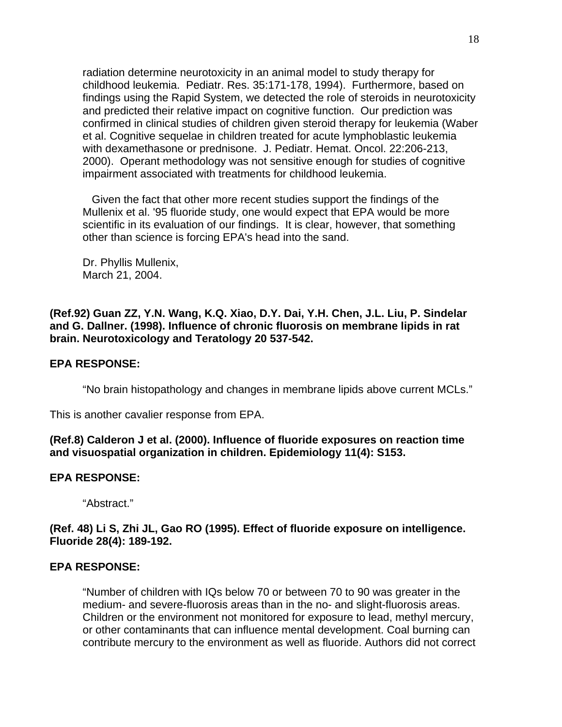radiation determine neurotoxicity in an animal model to study therapy for childhood leukemia. Pediatr. Res. 35:171-178, 1994). Furthermore, based on findings using the Rapid System, we detected the role of steroids in neurotoxicity and predicted their relative impact on cognitive function. Our prediction was confirmed in clinical studies of children given steroid therapy for leukemia (Waber et al. Cognitive sequelae in children treated for acute lymphoblastic leukemia with dexamethasone or prednisone. J. Pediatr. Hemat. Oncol. 22:206-213, 2000). Operant methodology was not sensitive enough for studies of cognitive impairment associated with treatments for childhood leukemia.

 Given the fact that other more recent studies support the findings of the Mullenix et al. '95 fluoride study, one would expect that EPA would be more scientific in its evaluation of our findings. It is clear, however, that something other than science is forcing EPA's head into the sand.

Dr. Phyllis Mullenix, March 21, 2004.

**(Ref.92) Guan ZZ, Y.N. Wang, K.Q. Xiao, D.Y. Dai, Y.H. Chen, J.L. Liu, P. Sindelar and G. Dallner. (1998). Influence of chronic fluorosis on membrane lipids in rat brain. Neurotoxicology and Teratology 20 537-542.**

#### **EPA RESPONSE:**

"No brain histopathology and changes in membrane lipids above current MCLs."

This is another cavalier response from EPA.

**(Ref.8) Calderon J et al. (2000). Influence of fluoride exposures on reaction time and visuospatial organization in children. Epidemiology 11(4): S153.**

#### **EPA RESPONSE:**

"Abstract."

**(Ref. 48) Li S, Zhi JL, Gao RO (1995). Effect of fluoride exposure on intelligence. Fluoride 28(4): 189-192.**

#### **EPA RESPONSE:**

"Number of children with IQs below 70 or between 70 to 90 was greater in the medium- and severe-fluorosis areas than in the no- and slight-fluorosis areas. Children or the environment not monitored for exposure to lead, methyl mercury, or other contaminants that can influence mental development. Coal burning can contribute mercury to the environment as well as fluoride. Authors did not correct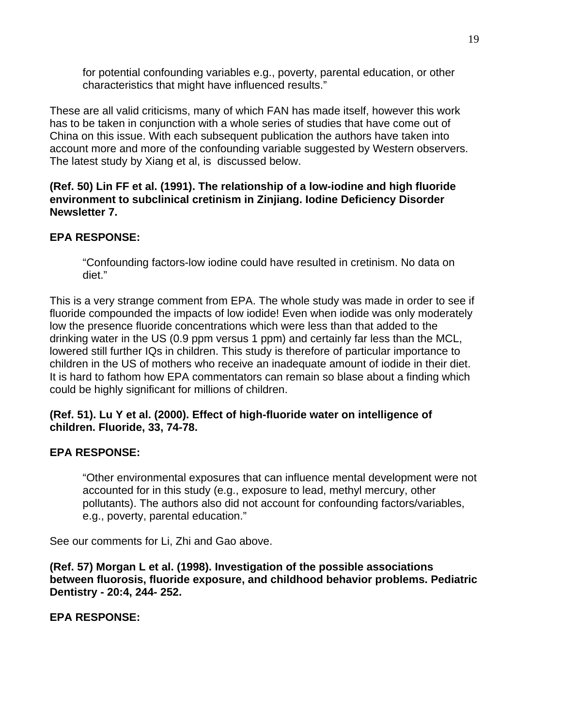for potential confounding variables e.g., poverty, parental education, or other characteristics that might have influenced results."

These are all valid criticisms, many of which FAN has made itself, however this work has to be taken in conjunction with a whole series of studies that have come out of China on this issue. With each subsequent publication the authors have taken into account more and more of the confounding variable suggested by Western observers. The latest study by Xiang et al, is discussed below.

**(Ref. 50) Lin FF et al. (1991). The relationship of a low-iodine and high fluoride environment to subclinical cretinism in Zinjiang. Iodine Deficiency Disorder Newsletter 7.**

# **EPA RESPONSE:**

"Confounding factors-low iodine could have resulted in cretinism. No data on diet."

This is a very strange comment from EPA. The whole study was made in order to see if fluoride compounded the impacts of low iodide! Even when iodide was only moderately low the presence fluoride concentrations which were less than that added to the drinking water in the US (0.9 ppm versus 1 ppm) and certainly far less than the MCL, lowered still further IQs in children. This study is therefore of particular importance to children in the US of mothers who receive an inadequate amount of iodide in their diet. It is hard to fathom how EPA commentators can remain so blase about a finding which could be highly significant for millions of children.

## **(Ref. 51). Lu Y et al. (2000). Effect of high-fluoride water on intelligence of children. Fluoride, 33, 74-78.**

# **EPA RESPONSE:**

"Other environmental exposures that can influence mental development were not accounted for in this study (e.g., exposure to lead, methyl mercury, other pollutants). The authors also did not account for confounding factors/variables, e.g., poverty, parental education."

See our comments for Li, Zhi and Gao above.

**(Ref. 57) Morgan L et al. (1998). Investigation of the possible associations between fluorosis, fluoride exposure, and childhood behavior problems. Pediatric Dentistry - 20:4, 244- 252.**

**EPA RESPONSE:**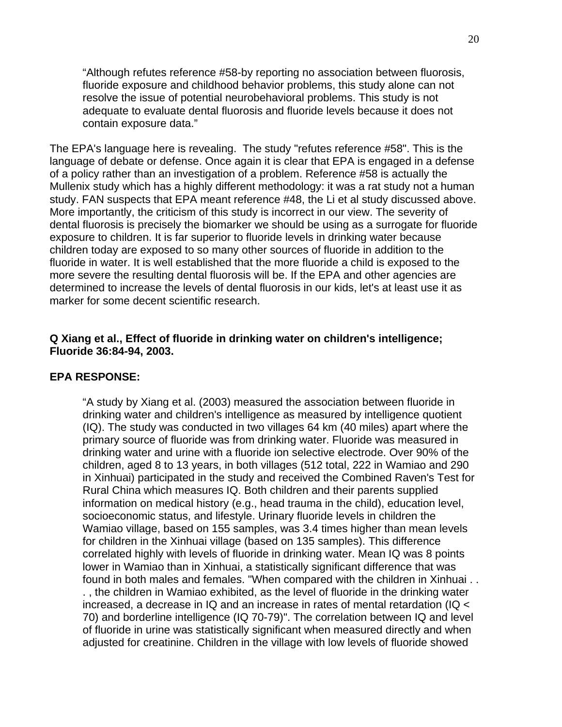"Although refutes reference #58-by reporting no association between fluorosis, fluoride exposure and childhood behavior problems, this study alone can not resolve the issue of potential neurobehavioral problems. This study is not adequate to evaluate dental fluorosis and fluoride levels because it does not contain exposure data."

The EPA's language here is revealing. The study "refutes reference #58". This is the language of debate or defense. Once again it is clear that EPA is engaged in a defense of a policy rather than an investigation of a problem. Reference #58 is actually the Mullenix study which has a highly different methodology: it was a rat study not a human study. FAN suspects that EPA meant reference #48, the Li et al study discussed above. More importantly, the criticism of this study is incorrect in our view. The severity of dental fluorosis is precisely the biomarker we should be using as a surrogate for fluoride exposure to children. It is far superior to fluoride levels in drinking water because children today are exposed to so many other sources of fluoride in addition to the fluoride in water. It is well established that the more fluoride a child is exposed to the more severe the resulting dental fluorosis will be. If the EPA and other agencies are determined to increase the levels of dental fluorosis in our kids, let's at least use it as marker for some decent scientific research.

#### **Q Xiang et al., Effect of fluoride in drinking water on children's intelligence; Fluoride 36:84-94, 2003.**

#### **EPA RESPONSE:**

"A study by Xiang et al. (2003) measured the association between fluoride in drinking water and children's intelligence as measured by intelligence quotient (IQ). The study was conducted in two villages 64 km (40 miles) apart where the primary source of fluoride was from drinking water. Fluoride was measured in drinking water and urine with a fluoride ion selective electrode. Over 90% of the children, aged 8 to 13 years, in both villages (512 total, 222 in Wamiao and 290 in Xinhuai) participated in the study and received the Combined Raven's Test for Rural China which measures IQ. Both children and their parents supplied information on medical history (e.g., head trauma in the child), education level, socioeconomic status, and lifestyle. Urinary fluoride levels in children the Wamiao village, based on 155 samples, was 3.4 times higher than mean levels for children in the Xinhuai village (based on 135 samples). This difference correlated highly with levels of fluoride in drinking water. Mean IQ was 8 points lower in Wamiao than in Xinhuai, a statistically significant difference that was found in both males and females. "When compared with the children in Xinhuai . . . , the children in Wamiao exhibited, as the level of fluoride in the drinking water increased, a decrease in IQ and an increase in rates of mental retardation (IQ < 70) and borderline intelligence (IQ 70-79)". The correlation between IQ and level of fluoride in urine was statistically significant when measured directly and when adjusted for creatinine. Children in the village with low levels of fluoride showed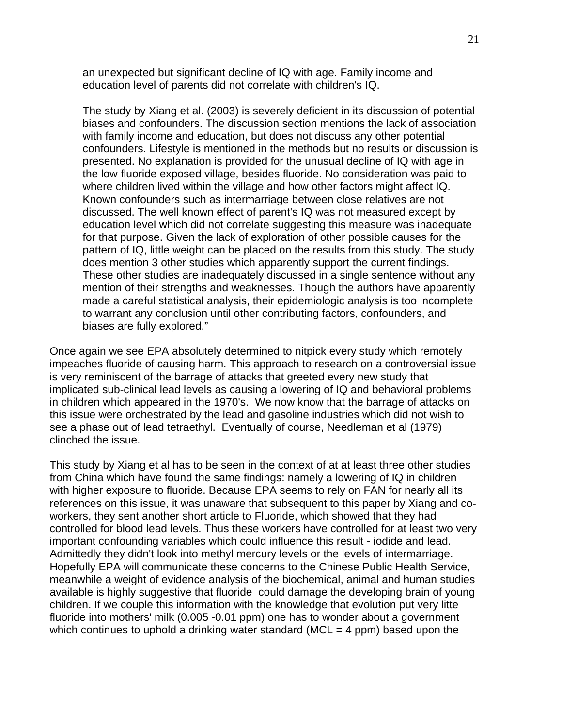an unexpected but significant decline of IQ with age. Family income and education level of parents did not correlate with children's IQ.

The study by Xiang et al. (2003) is severely deficient in its discussion of potential biases and confounders. The discussion section mentions the lack of association with family income and education, but does not discuss any other potential confounders. Lifestyle is mentioned in the methods but no results or discussion is presented. No explanation is provided for the unusual decline of IQ with age in the low fluoride exposed village, besides fluoride. No consideration was paid to where children lived within the village and how other factors might affect IQ. Known confounders such as intermarriage between close relatives are not discussed. The well known effect of parent's IQ was not measured except by education level which did not correlate suggesting this measure was inadequate for that purpose. Given the lack of exploration of other possible causes for the pattern of IQ, little weight can be placed on the results from this study. The study does mention 3 other studies which apparently support the current findings. These other studies are inadequately discussed in a single sentence without any mention of their strengths and weaknesses. Though the authors have apparently made a careful statistical analysis, their epidemiologic analysis is too incomplete to warrant any conclusion until other contributing factors, confounders, and biases are fully explored."

Once again we see EPA absolutely determined to nitpick every study which remotely impeaches fluoride of causing harm. This approach to research on a controversial issue is very reminiscent of the barrage of attacks that greeted every new study that implicated sub-clinical lead levels as causing a lowering of IQ and behavioral problems in children which appeared in the 1970's. We now know that the barrage of attacks on this issue were orchestrated by the lead and gasoline industries which did not wish to see a phase out of lead tetraethyl. Eventually of course, Needleman et al (1979) clinched the issue.

This study by Xiang et al has to be seen in the context of at at least three other studies from China which have found the same findings: namely a lowering of IQ in children with higher exposure to fluoride. Because EPA seems to rely on FAN for nearly all its references on this issue, it was unaware that subsequent to this paper by Xiang and coworkers, they sent another short article to Fluoride, which showed that they had controlled for blood lead levels. Thus these workers have controlled for at least two very important confounding variables which could influence this result - iodide and lead. Admittedly they didn't look into methyl mercury levels or the levels of intermarriage. Hopefully EPA will communicate these concerns to the Chinese Public Health Service, meanwhile a weight of evidence analysis of the biochemical, animal and human studies available is highly suggestive that fluoride could damage the developing brain of young children. If we couple this information with the knowledge that evolution put very litte fluoride into mothers' milk (0.005 -0.01 ppm) one has to wonder about a government which continues to uphold a drinking water standard ( $MCL = 4$  ppm) based upon the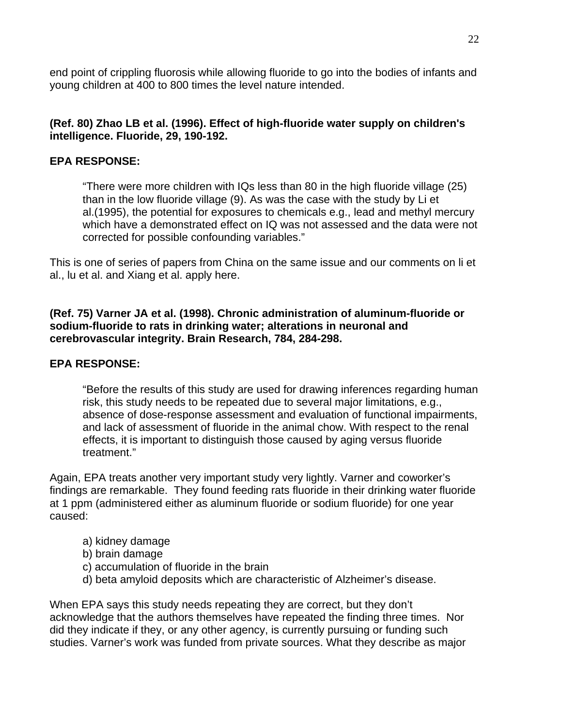end point of crippling fluorosis while allowing fluoride to go into the bodies of infants and young children at 400 to 800 times the level nature intended.

## **(Ref. 80) Zhao LB et al. (1996). Effect of high-fluoride water supply on children's intelligence. Fluoride, 29, 190-192.**

## **EPA RESPONSE:**

"There were more children with IQs less than 80 in the high fluoride village (25) than in the low fluoride village (9). As was the case with the study by Li et al.(1995), the potential for exposures to chemicals e.g., lead and methyl mercury which have a demonstrated effect on IQ was not assessed and the data were not corrected for possible confounding variables."

This is one of series of papers from China on the same issue and our comments on li et al., lu et al. and Xiang et al. apply here.

#### **(Ref. 75) Varner JA et al. (1998). Chronic administration of aluminum-fluoride or sodium-fluoride to rats in drinking water; alterations in neuronal and cerebrovascular integrity. Brain Research, 784, 284-298.**

## **EPA RESPONSE:**

"Before the results of this study are used for drawing inferences regarding human risk, this study needs to be repeated due to several major limitations, e.g., absence of dose-response assessment and evaluation of functional impairments, and lack of assessment of fluoride in the animal chow. With respect to the renal effects, it is important to distinguish those caused by aging versus fluoride treatment."

Again, EPA treats another very important study very lightly. Varner and coworker's findings are remarkable. They found feeding rats fluoride in their drinking water fluoride at 1 ppm (administered either as aluminum fluoride or sodium fluoride) for one year caused:

- a) kidney damage
- b) brain damage
- c) accumulation of fluoride in the brain
- d) beta amyloid deposits which are characteristic of Alzheimer's disease.

When EPA says this study needs repeating they are correct, but they don't acknowledge that the authors themselves have repeated the finding three times. Nor did they indicate if they, or any other agency, is currently pursuing or funding such studies. Varner's work was funded from private sources. What they describe as major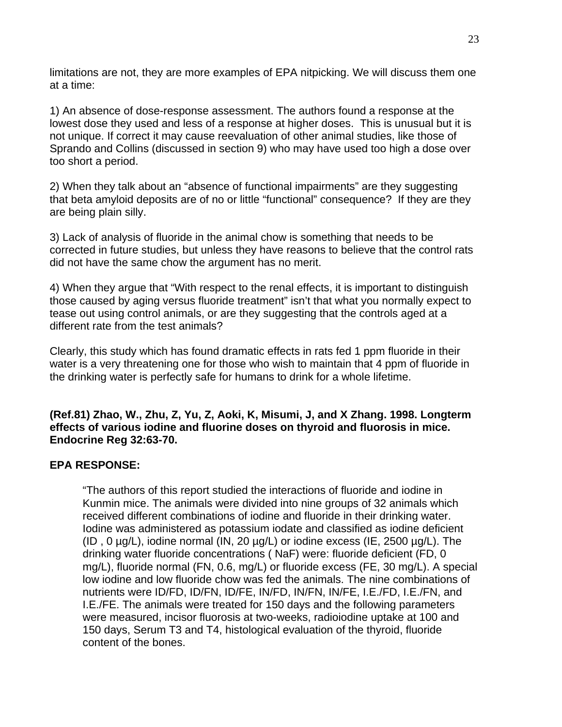limitations are not, they are more examples of EPA nitpicking. We will discuss them one at a time:

1) An absence of dose-response assessment. The authors found a response at the lowest dose they used and less of a response at higher doses. This is unusual but it is not unique. If correct it may cause reevaluation of other animal studies, like those of Sprando and Collins (discussed in section 9) who may have used too high a dose over too short a period.

2) When they talk about an "absence of functional impairments" are they suggesting that beta amyloid deposits are of no or little "functional" consequence? If they are they are being plain silly.

3) Lack of analysis of fluoride in the animal chow is something that needs to be corrected in future studies, but unless they have reasons to believe that the control rats did not have the same chow the argument has no merit.

4) When they argue that "With respect to the renal effects, it is important to distinguish those caused by aging versus fluoride treatment" isn't that what you normally expect to tease out using control animals, or are they suggesting that the controls aged at a different rate from the test animals?

Clearly, this study which has found dramatic effects in rats fed 1 ppm fluoride in their water is a very threatening one for those who wish to maintain that 4 ppm of fluoride in the drinking water is perfectly safe for humans to drink for a whole lifetime.

**(Ref.81) Zhao, W., Zhu, Z, Yu, Z, Aoki, K, Misumi, J, and X Zhang. 1998. Longterm effects of various iodine and fluorine doses on thyroid and fluorosis in mice. Endocrine Reg 32:63-70.**

## **EPA RESPONSE:**

"The authors of this report studied the interactions of fluoride and iodine in Kunmin mice. The animals were divided into nine groups of 32 animals which received different combinations of iodine and fluoride in their drinking water. Iodine was administered as potassium iodate and classified as iodine deficient (ID,  $0 \mu g/L$ ), iodine normal (IN,  $20 \mu g/L$ ) or iodine excess (IE,  $2500 \mu g/L$ ). The drinking water fluoride concentrations ( NaF) were: fluoride deficient (FD, 0 mg/L), fluoride normal (FN, 0.6, mg/L) or fluoride excess (FE, 30 mg/L). A special low iodine and low fluoride chow was fed the animals. The nine combinations of nutrients were ID/FD, ID/FN, ID/FE, IN/FD, IN/FN, IN/FE, I.E./FD, I.E./FN, and I.E./FE. The animals were treated for 150 days and the following parameters were measured, incisor fluorosis at two-weeks, radioiodine uptake at 100 and 150 days, Serum T3 and T4, histological evaluation of the thyroid, fluoride content of the bones.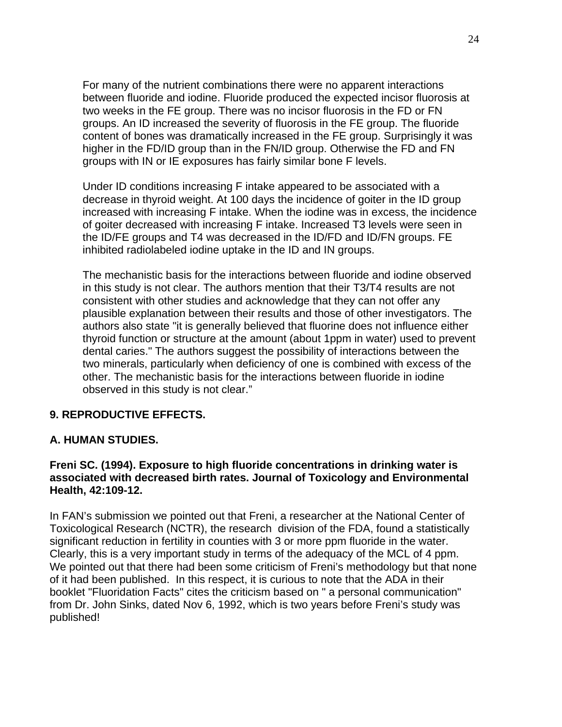For many of the nutrient combinations there were no apparent interactions between fluoride and iodine. Fluoride produced the expected incisor fluorosis at two weeks in the FE group. There was no incisor fluorosis in the FD or FN groups. An ID increased the severity of fluorosis in the FE group. The fluoride content of bones was dramatically increased in the FE group. Surprisingly it was higher in the FD/ID group than in the FN/ID group. Otherwise the FD and FN groups with IN or IE exposures has fairly similar bone F levels.

Under ID conditions increasing F intake appeared to be associated with a decrease in thyroid weight. At 100 days the incidence of goiter in the ID group increased with increasing F intake. When the iodine was in excess, the incidence of goiter decreased with increasing F intake. Increased T3 levels were seen in the ID/FE groups and T4 was decreased in the ID/FD and ID/FN groups. FE inhibited radiolabeled iodine uptake in the ID and IN groups.

The mechanistic basis for the interactions between fluoride and iodine observed in this study is not clear. The authors mention that their T3/T4 results are not consistent with other studies and acknowledge that they can not offer any plausible explanation between their results and those of other investigators. The authors also state "it is generally believed that fluorine does not influence either thyroid function or structure at the amount (about 1ppm in water) used to prevent dental caries." The authors suggest the possibility of interactions between the two minerals, particularly when deficiency of one is combined with excess of the other. The mechanistic basis for the interactions between fluoride in iodine observed in this study is not clear."

# **9. REPRODUCTIVE EFFECTS.**

## **A. HUMAN STUDIES.**

#### **Freni SC. (1994). Exposure to high fluoride concentrations in drinking water is associated with decreased birth rates. Journal of Toxicology and Environmental Health, 42:109-12.**

In FAN's submission we pointed out that Freni, a researcher at the National Center of Toxicological Research (NCTR), the research division of the FDA, found a statistically significant reduction in fertility in counties with 3 or more ppm fluoride in the water. Clearly, this is a very important study in terms of the adequacy of the MCL of 4 ppm. We pointed out that there had been some criticism of Freni's methodology but that none of it had been published. In this respect, it is curious to note that the ADA in their booklet "Fluoridation Facts" cites the criticism based on " a personal communication" from Dr. John Sinks, dated Nov 6, 1992, which is two years before Freni's study was published!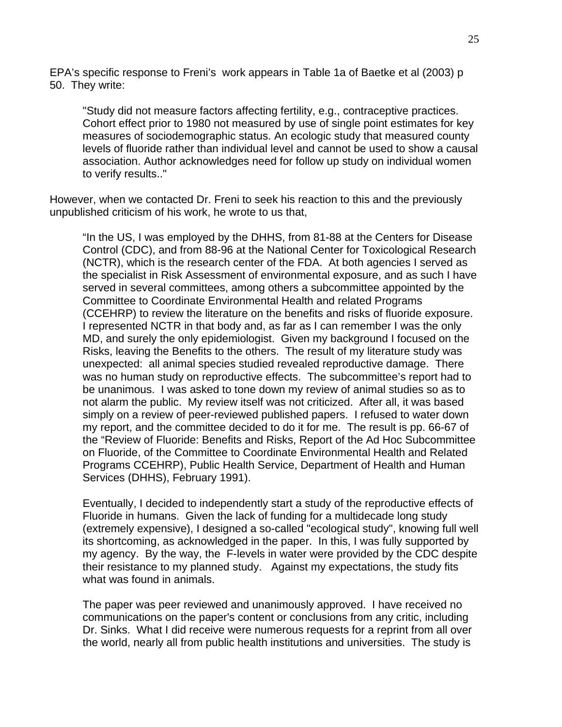EPA's specific response to Freni's work appears in Table 1a of Baetke et al (2003) p 50. They write:

"Study did not measure factors affecting fertility, e.g., contraceptive practices. Cohort effect prior to 1980 not measured by use of single point estimates for key measures of sociodemographic status. An ecologic study that measured county levels of fluoride rather than individual level and cannot be used to show a causal association. Author acknowledges need for follow up study on individual women to verify results.."

However, when we contacted Dr. Freni to seek his reaction to this and the previously unpublished criticism of his work, he wrote to us that,

"In the US, I was employed by the DHHS, from 81-88 at the Centers for Disease Control (CDC), and from 88-96 at the National Center for Toxicological Research (NCTR), which is the research center of the FDA. At both agencies I served as the specialist in Risk Assessment of environmental exposure, and as such I have served in several committees, among others a subcommittee appointed by the Committee to Coordinate Environmental Health and related Programs (CCEHRP) to review the literature on the benefits and risks of fluoride exposure. I represented NCTR in that body and, as far as I can remember I was the only MD, and surely the only epidemiologist. Given my background I focused on the Risks, leaving the Benefits to the others. The result of my literature study was unexpected: all animal species studied revealed reproductive damage. There was no human study on reproductive effects. The subcommittee's report had to be unanimous. I was asked to tone down my review of animal studies so as to not alarm the public. My review itself was not criticized. After all, it was based simply on a review of peer-reviewed published papers. I refused to water down my report, and the committee decided to do it for me. The result is pp. 66-67 of the "Review of Fluoride: Benefits and Risks, Report of the Ad Hoc Subcommittee on Fluoride, of the Committee to Coordinate Environmental Health and Related Programs CCEHRP), Public Health Service, Department of Health and Human Services (DHHS), February 1991).

Eventually, I decided to independently start a study of the reproductive effects of Fluoride in humans. Given the lack of funding for a multidecade long study (extremely expensive), I designed a so-called "ecological study", knowing full well its shortcoming, as acknowledged in the paper. In this, I was fully supported by my agency. By the way, the F-levels in water were provided by the CDC despite their resistance to my planned study. Against my expectations, the study fits what was found in animals.

The paper was peer reviewed and unanimously approved. I have received no communications on the paper's content or conclusions from any critic, including Dr. Sinks. What I did receive were numerous requests for a reprint from all over the world, nearly all from public health institutions and universities. The study is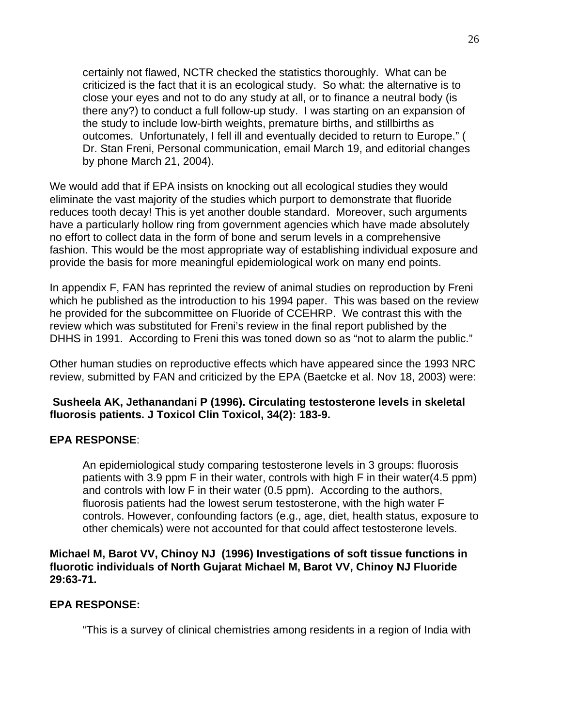certainly not flawed, NCTR checked the statistics thoroughly. What can be criticized is the fact that it is an ecological study. So what: the alternative is to close your eyes and not to do any study at all, or to finance a neutral body (is there any?) to conduct a full follow-up study. I was starting on an expansion of the study to include low-birth weights, premature births, and stillbirths as outcomes. Unfortunately, I fell ill and eventually decided to return to Europe." ( Dr. Stan Freni, Personal communication, email March 19, and editorial changes by phone March 21, 2004).

We would add that if EPA insists on knocking out all ecological studies they would eliminate the vast majority of the studies which purport to demonstrate that fluoride reduces tooth decay! This is yet another double standard. Moreover, such arguments have a particularly hollow ring from government agencies which have made absolutely no effort to collect data in the form of bone and serum levels in a comprehensive fashion. This would be the most appropriate way of establishing individual exposure and provide the basis for more meaningful epidemiological work on many end points.

In appendix F, FAN has reprinted the review of animal studies on reproduction by Freni which he published as the introduction to his 1994 paper. This was based on the review he provided for the subcommittee on Fluoride of CCEHRP. We contrast this with the review which was substituted for Freni's review in the final report published by the DHHS in 1991. According to Freni this was toned down so as "not to alarm the public."

Other human studies on reproductive effects which have appeared since the 1993 NRC review, submitted by FAN and criticized by the EPA (Baetcke et al. Nov 18, 2003) were:

## **Susheela AK, Jethanandani P (1996). Circulating testosterone levels in skeletal fluorosis patients. J Toxicol Clin Toxicol, 34(2): 183-9.**

## **EPA RESPONSE**:

An epidemiological study comparing testosterone levels in 3 groups: fluorosis patients with 3.9 ppm F in their water, controls with high F in their water(4.5 ppm) and controls with low F in their water (0.5 ppm). According to the authors, fluorosis patients had the lowest serum testosterone, with the high water F controls. However, confounding factors (e.g., age, diet, health status, exposure to other chemicals) were not accounted for that could affect testosterone levels.

## **Michael M, Barot VV, Chinoy NJ (1996) Investigations of soft tissue functions in fluorotic individuals of North Gujarat Michael M, Barot VV, Chinoy NJ Fluoride 29:63-71.**

## **EPA RESPONSE:**

"This is a survey of clinical chemistries among residents in a region of India with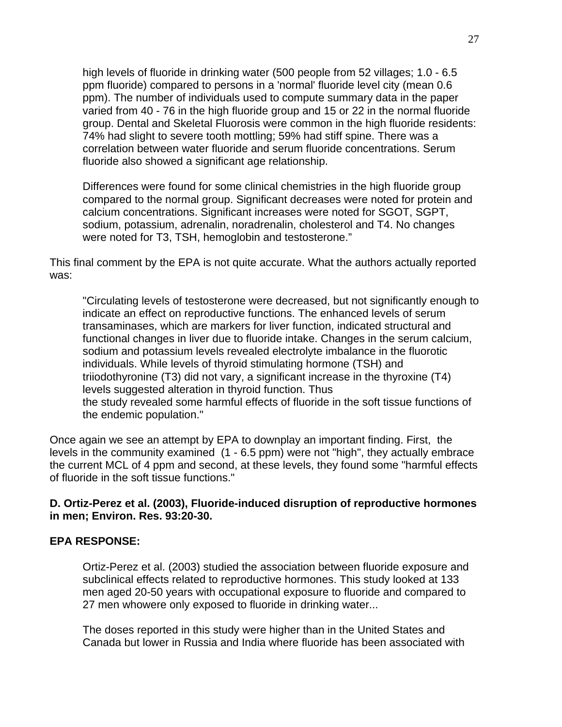high levels of fluoride in drinking water (500 people from 52 villages; 1.0 - 6.5 ppm fluoride) compared to persons in a 'normal' fluoride level city (mean 0.6 ppm). The number of individuals used to compute summary data in the paper varied from 40 - 76 in the high fluoride group and 15 or 22 in the normal fluoride group. Dental and Skeletal Fluorosis were common in the high fluoride residents: 74% had slight to severe tooth mottling; 59% had stiff spine. There was a correlation between water fluoride and serum fluoride concentrations. Serum fluoride also showed a significant age relationship.

Differences were found for some clinical chemistries in the high fluoride group compared to the normal group. Significant decreases were noted for protein and calcium concentrations. Significant increases were noted for SGOT, SGPT, sodium, potassium, adrenalin, noradrenalin, cholesterol and T4. No changes were noted for T3, TSH, hemoglobin and testosterone."

This final comment by the EPA is not quite accurate. What the authors actually reported was:

"Circulating levels of testosterone were decreased, but not significantly enough to indicate an effect on reproductive functions. The enhanced levels of serum transaminases, which are markers for liver function, indicated structural and functional changes in liver due to fluoride intake. Changes in the serum calcium, sodium and potassium levels revealed electrolyte imbalance in the fluorotic individuals. While levels of thyroid stimulating hormone (TSH) and triiodothyronine (T3) did not vary, a significant increase in the thyroxine (T4) levels suggested alteration in thyroid function. Thus the study revealed some harmful effects of fluoride in the soft tissue functions of the endemic population."

Once again we see an attempt by EPA to downplay an important finding. First, the levels in the community examined (1 - 6.5 ppm) were not "high", they actually embrace the current MCL of 4 ppm and second, at these levels, they found some "harmful effects of fluoride in the soft tissue functions."

#### **D. Ortiz-Perez et al. (2003), Fluoride-induced disruption of reproductive hormones in men; Environ. Res. 93:20-30.**

#### **EPA RESPONSE:**

Ortiz-Perez et al. (2003) studied the association between fluoride exposure and subclinical effects related to reproductive hormones. This study looked at 133 men aged 20-50 years with occupational exposure to fluoride and compared to 27 men whowere only exposed to fluoride in drinking water...

The doses reported in this study were higher than in the United States and Canada but lower in Russia and India where fluoride has been associated with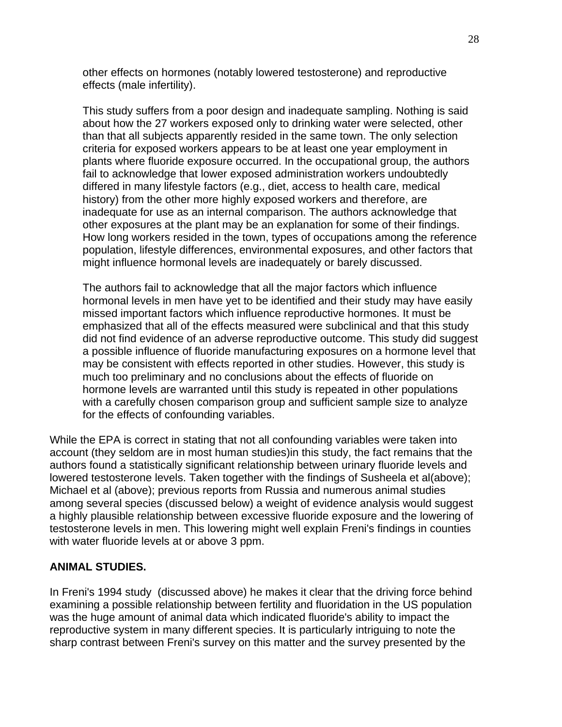other effects on hormones (notably lowered testosterone) and reproductive effects (male infertility).

This study suffers from a poor design and inadequate sampling. Nothing is said about how the 27 workers exposed only to drinking water were selected, other than that all subjects apparently resided in the same town. The only selection criteria for exposed workers appears to be at least one year employment in plants where fluoride exposure occurred. In the occupational group, the authors fail to acknowledge that lower exposed administration workers undoubtedly differed in many lifestyle factors (e.g., diet, access to health care, medical history) from the other more highly exposed workers and therefore, are inadequate for use as an internal comparison. The authors acknowledge that other exposures at the plant may be an explanation for some of their findings. How long workers resided in the town, types of occupations among the reference population, lifestyle differences, environmental exposures, and other factors that might influence hormonal levels are inadequately or barely discussed.

The authors fail to acknowledge that all the major factors which influence hormonal levels in men have yet to be identified and their study may have easily missed important factors which influence reproductive hormones. It must be emphasized that all of the effects measured were subclinical and that this study did not find evidence of an adverse reproductive outcome. This study did suggest a possible influence of fluoride manufacturing exposures on a hormone level that may be consistent with effects reported in other studies. However, this study is much too preliminary and no conclusions about the effects of fluoride on hormone levels are warranted until this study is repeated in other populations with a carefully chosen comparison group and sufficient sample size to analyze for the effects of confounding variables.

While the EPA is correct in stating that not all confounding variables were taken into account (they seldom are in most human studies)in this study, the fact remains that the authors found a statistically significant relationship between urinary fluoride levels and lowered testosterone levels. Taken together with the findings of Susheela et al(above); Michael et al (above); previous reports from Russia and numerous animal studies among several species (discussed below) a weight of evidence analysis would suggest a highly plausible relationship between excessive fluoride exposure and the lowering of testosterone levels in men. This lowering might well explain Freni's findings in counties with water fluoride levels at or above 3 ppm.

## **ANIMAL STUDIES.**

In Freni's 1994 study (discussed above) he makes it clear that the driving force behind examining a possible relationship between fertility and fluoridation in the US population was the huge amount of animal data which indicated fluoride's ability to impact the reproductive system in many different species. It is particularly intriguing to note the sharp contrast between Freni's survey on this matter and the survey presented by the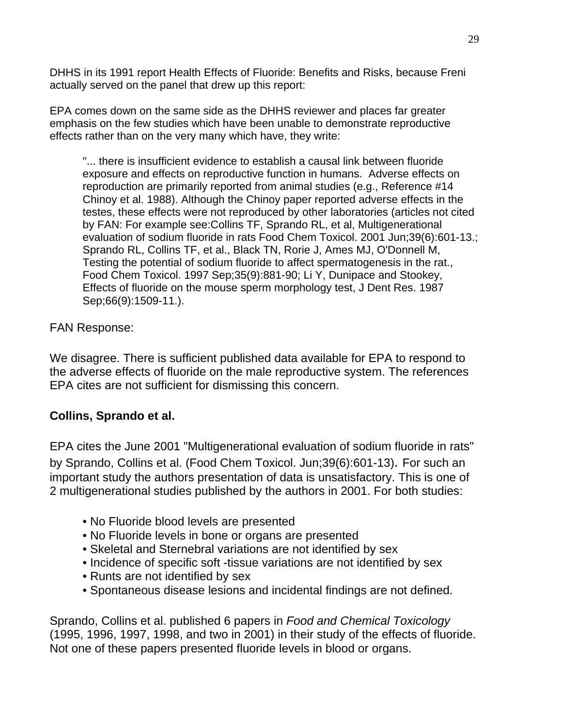DHHS in its 1991 report Health Effects of Fluoride: Benefits and Risks, because Freni actually served on the panel that drew up this report:

EPA comes down on the same side as the DHHS reviewer and places far greater emphasis on the few studies which have been unable to demonstrate reproductive effects rather than on the very many which have, they write:

"... there is insufficient evidence to establish a causal link between fluoride exposure and effects on reproductive function in humans. Adverse effects on reproduction are primarily reported from animal studies (e.g., Reference #14 Chinoy et al. 1988). Although the Chinoy paper reported adverse effects in the testes, these effects were not reproduced by other laboratories (articles not cited by FAN: For example see:Collins TF, Sprando RL, et al, Multigenerational evaluation of sodium fluoride in rats Food Chem Toxicol. 2001 Jun;39(6):601-13.; Sprando RL, Collins TF, et al., Black TN, Rorie J, Ames MJ, O'Donnell M, Testing the potential of sodium fluoride to affect spermatogenesis in the rat., Food Chem Toxicol. 1997 Sep;35(9):881-90; Li Y, Dunipace and Stookey, Effects of fluoride on the mouse sperm morphology test, J Dent Res. 1987 Sep;66(9):1509-11.).

FAN Response:

We disagree. There is sufficient published data available for EPA to respond to the adverse effects of fluoride on the male reproductive system. The references EPA cites are not sufficient for dismissing this concern.

# **Collins, Sprando et al.**

EPA cites the June 2001 "Multigenerational evaluation of sodium fluoride in rats" by Sprando, Collins et al. (Food Chem Toxicol. Jun;39(6):601-13). For such an important study the authors presentation of data is unsatisfactory. This is one of 2 multigenerational studies published by the authors in 2001. For both studies:

- No Fluoride blood levels are presented
- No Fluoride levels in bone or organs are presented
- Skeletal and Sternebral variations are not identified by sex
- Incidence of specific soft -tissue variations are not identified by sex
- Runts are not identified by sex
- Spontaneous disease lesions and incidental findings are not defined.

Sprando, Collins et al. published 6 papers in *Food and Chemical Toxicology* (1995, 1996, 1997, 1998, and two in 2001) in their study of the effects of fluoride. Not one of these papers presented fluoride levels in blood or organs.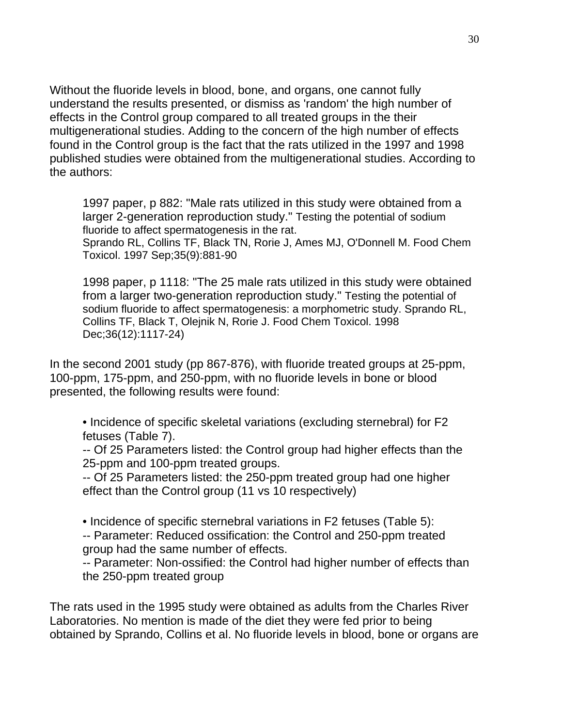Without the fluoride levels in blood, bone, and organs, one cannot fully understand the results presented, or dismiss as 'random' the high number of effects in the Control group compared to all treated groups in the their multigenerational studies. Adding to the concern of the high number of effects found in the Control group is the fact that the rats utilized in the 1997 and 1998 published studies were obtained from the multigenerational studies. According to the authors:

1997 paper, p 882: "Male rats utilized in this study were obtained from a larger 2-generation reproduction study." Testing the potential of sodium fluoride to affect spermatogenesis in the rat.

Sprando RL, Collins TF, Black TN, Rorie J, Ames MJ, O'Donnell M. Food Chem Toxicol. 1997 Sep;35(9):881-90

1998 paper, p 1118: "The 25 male rats utilized in this study were obtained from a larger two-generation reproduction study." Testing the potential of sodium fluoride to affect spermatogenesis: a morphometric study. Sprando RL, Collins TF, Black T, Olejnik N, Rorie J. Food Chem Toxicol. 1998 Dec;36(12):1117-24)

In the second 2001 study (pp 867-876), with fluoride treated groups at 25-ppm, 100-ppm, 175-ppm, and 250-ppm, with no fluoride levels in bone or blood presented, the following results were found:

• Incidence of specific skeletal variations (excluding sternebral) for F2 fetuses (Table 7).

-- Of 25 Parameters listed: the Control group had higher effects than the 25-ppm and 100-ppm treated groups.

-- Of 25 Parameters listed: the 250-ppm treated group had one higher effect than the Control group (11 vs 10 respectively)

• Incidence of specific sternebral variations in F2 fetuses (Table 5): -- Parameter: Reduced ossification: the Control and 250-ppm treated group had the same number of effects.

-- Parameter: Non-ossified: the Control had higher number of effects than the 250-ppm treated group

The rats used in the 1995 study were obtained as adults from the Charles River Laboratories. No mention is made of the diet they were fed prior to being obtained by Sprando, Collins et al. No fluoride levels in blood, bone or organs are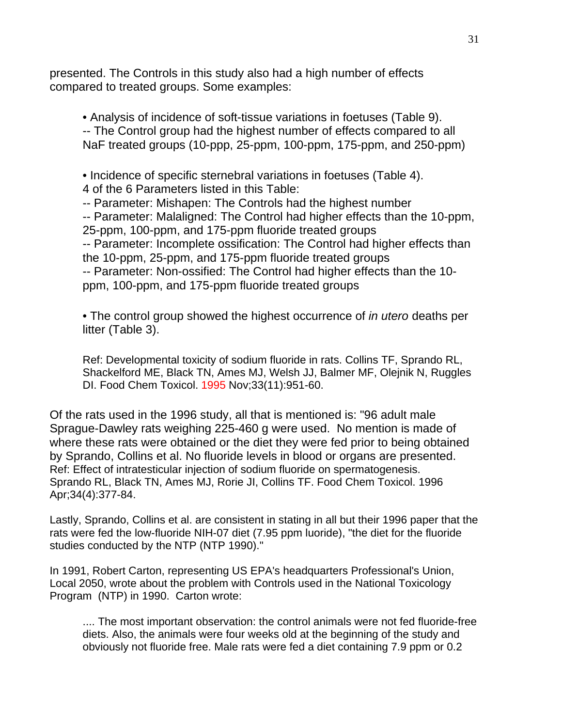presented. The Controls in this study also had a high number of effects compared to treated groups. Some examples:

• Analysis of incidence of soft-tissue variations in foetuses (Table 9). -- The Control group had the highest number of effects compared to all NaF treated groups (10-ppp, 25-ppm, 100-ppm, 175-ppm, and 250-ppm)

• Incidence of specific sternebral variations in foetuses (Table 4).

4 of the 6 Parameters listed in this Table:

-- Parameter: Mishapen: The Controls had the highest number

-- Parameter: Malaligned: The Control had higher effects than the 10-ppm, 25-ppm, 100-ppm, and 175-ppm fluoride treated groups -- Parameter: Incomplete ossification: The Control had higher effects than the 10-ppm, 25-ppm, and 175-ppm fluoride treated groups -- Parameter: Non-ossified: The Control had higher effects than the 10 ppm, 100-ppm, and 175-ppm fluoride treated groups

• The control group showed the highest occurrence of *in utero* deaths per litter (Table 3).

Ref: Developmental toxicity of sodium fluoride in rats. Collins TF, Sprando RL, Shackelford ME, Black TN, Ames MJ, Welsh JJ, Balmer MF, Olejnik N, Ruggles DI. Food Chem Toxicol. 1995 Nov;33(11):951-60.

Of the rats used in the 1996 study, all that is mentioned is: "96 adult male Sprague-Dawley rats weighing 225-460 g were used. No mention is made of where these rats were obtained or the diet they were fed prior to being obtained by Sprando, Collins et al. No fluoride levels in blood or organs are presented. Ref: Effect of intratesticular injection of sodium fluoride on spermatogenesis. Sprando RL, Black TN, Ames MJ, Rorie JI, Collins TF. Food Chem Toxicol. 1996 Apr;34(4):377-84.

Lastly, Sprando, Collins et al. are consistent in stating in all but their 1996 paper that the rats were fed the low-fluoride NIH-07 diet (7.95 ppm luoride), "the diet for the fluoride studies conducted by the NTP (NTP 1990)."

In 1991, Robert Carton, representing US EPA's headquarters Professional's Union, Local 2050, wrote about the problem with Controls used in the National Toxicology Program (NTP) in 1990. Carton wrote:

.... The most important observation: the control animals were not fed fluoride-free diets. Also, the animals were four weeks old at the beginning of the study and obviously not fluoride free. Male rats were fed a diet containing 7.9 ppm or 0.2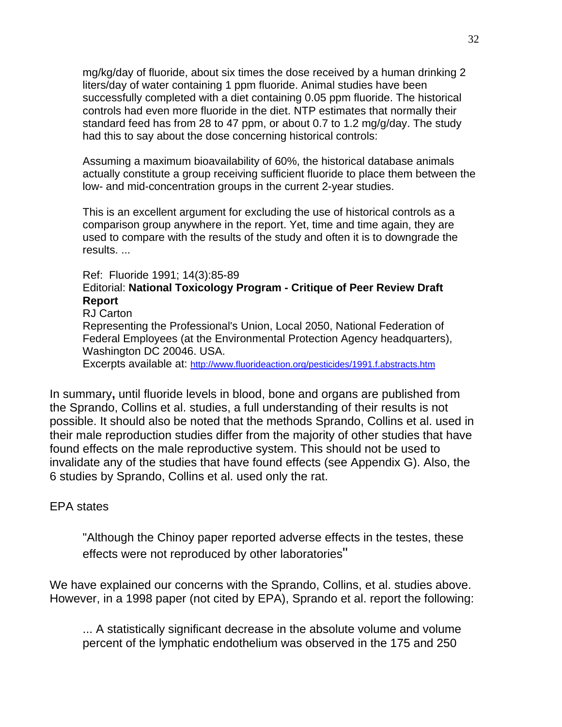mg/kg/day of fluoride, about six times the dose received by a human drinking 2 liters/day of water containing 1 ppm fluoride. Animal studies have been successfully completed with a diet containing 0.05 ppm fluoride. The historical controls had even more fluoride in the diet. NTP estimates that normally their standard feed has from 28 to 47 ppm, or about 0.7 to 1.2 mg/g/day. The study had this to say about the dose concerning historical controls:

Assuming a maximum bioavailability of 60%, the historical database animals actually constitute a group receiving sufficient fluoride to place them between the low- and mid-concentration groups in the current 2-year studies.

This is an excellent argument for excluding the use of historical controls as a comparison group anywhere in the report. Yet, time and time again, they are used to compare with the results of the study and often it is to downgrade the results. ...

#### Ref: Fluoride 1991; 14(3):85-89

# Editorial: **National Toxicology Program - Critique of Peer Review Draft Report**

#### RJ Carton

Representing the Professional's Union, Local 2050, National Federation of Federal Employees (at the Environmental Protection Agency headquarters), Washington DC 20046. USA.

Excerpts available at: http://www.fluorideaction.org/pesticides/1991.f.abstracts.htm

In summary**,** until fluoride levels in blood, bone and organs are published from the Sprando, Collins et al. studies, a full understanding of their results is not possible. It should also be noted that the methods Sprando, Collins et al. used in their male reproduction studies differ from the majority of other studies that have found effects on the male reproductive system. This should not be used to invalidate any of the studies that have found effects (see Appendix G). Also, the 6 studies by Sprando, Collins et al. used only the rat.

#### EPA states

"Although the Chinoy paper reported adverse effects in the testes, these effects were not reproduced by other laboratories"

We have explained our concerns with the Sprando, Collins, et al. studies above. However, in a 1998 paper (not cited by EPA), Sprando et al. report the following:

... A statistically significant decrease in the absolute volume and volume percent of the lymphatic endothelium was observed in the 175 and 250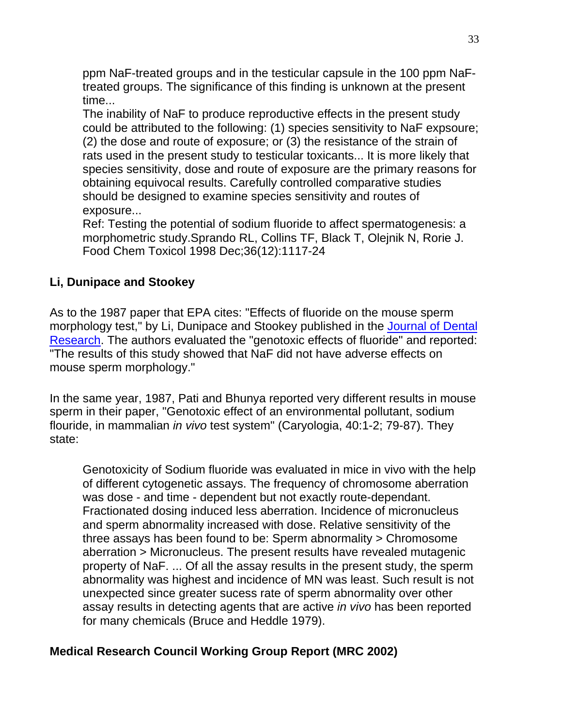ppm NaF-treated groups and in the testicular capsule in the 100 ppm NaFtreated groups. The significance of this finding is unknown at the present time...

The inability of NaF to produce reproductive effects in the present study could be attributed to the following: (1) species sensitivity to NaF expsoure; (2) the dose and route of exposure; or (3) the resistance of the strain of rats used in the present study to testicular toxicants... It is more likely that species sensitivity, dose and route of exposure are the primary reasons for obtaining equivocal results. Carefully controlled comparative studies should be designed to examine species sensitivity and routes of exposure...

Ref: Testing the potential of sodium fluoride to affect spermatogenesis: a morphometric study.Sprando RL, Collins TF, Black T, Olejnik N, Rorie J. Food Chem Toxicol 1998 Dec;36(12):1117-24

# **Li, Dunipace and Stookey**

As to the 1987 paper that EPA cites: "Effects of fluoride on the mouse sperm morphology test," by Li, Dunipace and Stookey published in the Journal of Dental Research. The authors evaluated the "genotoxic effects of fluoride" and reported: "The results of this study showed that NaF did not have adverse effects on mouse sperm morphology."

In the same year, 1987, Pati and Bhunya reported very different results in mouse sperm in their paper, "Genotoxic effect of an environmental pollutant, sodium flouride, in mammalian *in vivo* test system" (Caryologia, 40:1-2; 79-87). They state:

Genotoxicity of Sodium fluoride was evaluated in mice in vivo with the help of different cytogenetic assays. The frequency of chromosome aberration was dose - and time - dependent but not exactly route-dependant. Fractionated dosing induced less aberration. Incidence of micronucleus and sperm abnormality increased with dose. Relative sensitivity of the three assays has been found to be: Sperm abnormality > Chromosome aberration > Micronucleus. The present results have revealed mutagenic property of NaF. ... Of all the assay results in the present study, the sperm abnormality was highest and incidence of MN was least. Such result is not unexpected since greater sucess rate of sperm abnormality over other assay results in detecting agents that are active *in vivo* has been reported for many chemicals (Bruce and Heddle 1979).

# **Medical Research Council Working Group Report (MRC 2002)**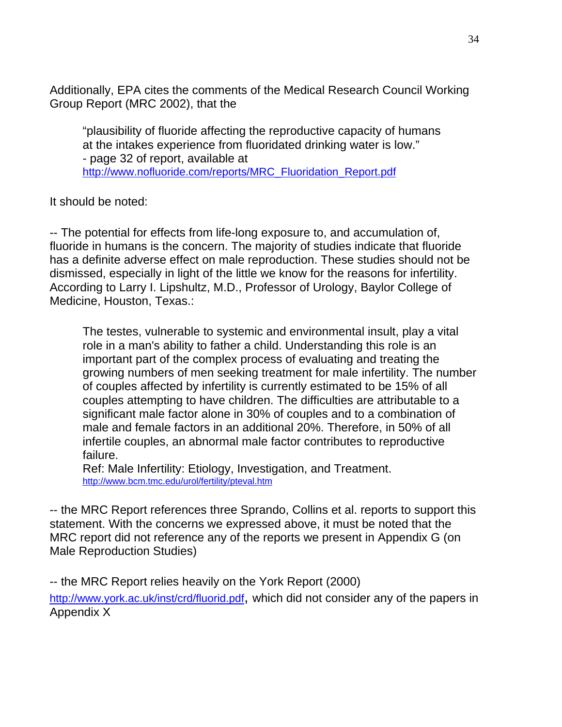Additionally, EPA cites the comments of the Medical Research Council Working Group Report (MRC 2002), that the

"plausibility of fluoride affecting the reproductive capacity of humans at the intakes experience from fluoridated drinking water is low." - page 32 of report, available at http://www.nofluoride.com/reports/MRC\_Fluoridation\_Report.pdf

It should be noted:

-- The potential for effects from life-long exposure to, and accumulation of, fluoride in humans is the concern. The majority of studies indicate that fluoride has a definite adverse effect on male reproduction. These studies should not be dismissed, especially in light of the little we know for the reasons for infertility. According to Larry I. Lipshultz, M.D., Professor of Urology, Baylor College of Medicine, Houston, Texas.:

The testes, vulnerable to systemic and environmental insult, play a vital role in a man's ability to father a child. Understanding this role is an important part of the complex process of evaluating and treating the growing numbers of men seeking treatment for male infertility. The number of couples affected by infertility is currently estimated to be 15% of all couples attempting to have children. The difficulties are attributable to a significant male factor alone in 30% of couples and to a combination of male and female factors in an additional 20%. Therefore, in 50% of all infertile couples, an abnormal male factor contributes to reproductive failure.

Ref: Male Infertility: Etiology, Investigation, and Treatment. http://www.bcm.tmc.edu/urol/fertility/pteval.htm

-- the MRC Report references three Sprando, Collins et al. reports to support this statement. With the concerns we expressed above, it must be noted that the MRC report did not reference any of the reports we present in Appendix G (on Male Reproduction Studies)

-- the MRC Report relies heavily on the York Report (2000)

http://www.york.ac.uk/inst/crd/fluorid.pdf, which did not consider any of the papers in Appendix X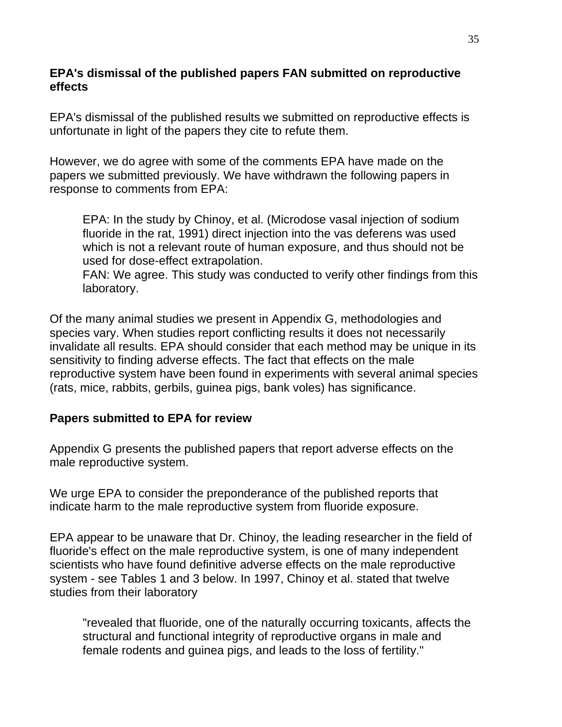# **EPA's dismissal of the published papers FAN submitted on reproductive effects**

EPA's dismissal of the published results we submitted on reproductive effects is unfortunate in light of the papers they cite to refute them.

However, we do agree with some of the comments EPA have made on the papers we submitted previously. We have withdrawn the following papers in response to comments from EPA:

EPA: In the study by Chinoy, et al. (Microdose vasal injection of sodium fluoride in the rat, 1991) direct injection into the vas deferens was used which is not a relevant route of human exposure, and thus should not be used for dose-effect extrapolation.

FAN: We agree. This study was conducted to verify other findings from this laboratory.

Of the many animal studies we present in Appendix G, methodologies and species vary. When studies report conflicting results it does not necessarily invalidate all results. EPA should consider that each method may be unique in its sensitivity to finding adverse effects. The fact that effects on the male reproductive system have been found in experiments with several animal species (rats, mice, rabbits, gerbils, guinea pigs, bank voles) has significance.

# **Papers submitted to EPA for review**

Appendix G presents the published papers that report adverse effects on the male reproductive system.

We urge EPA to consider the preponderance of the published reports that indicate harm to the male reproductive system from fluoride exposure.

EPA appear to be unaware that Dr. Chinoy, the leading researcher in the field of fluoride's effect on the male reproductive system, is one of many independent scientists who have found definitive adverse effects on the male reproductive system - see Tables 1 and 3 below. In 1997, Chinoy et al. stated that twelve studies from their laboratory

"revealed that fluoride, one of the naturally occurring toxicants, affects the structural and functional integrity of reproductive organs in male and female rodents and guinea pigs, and leads to the loss of fertility."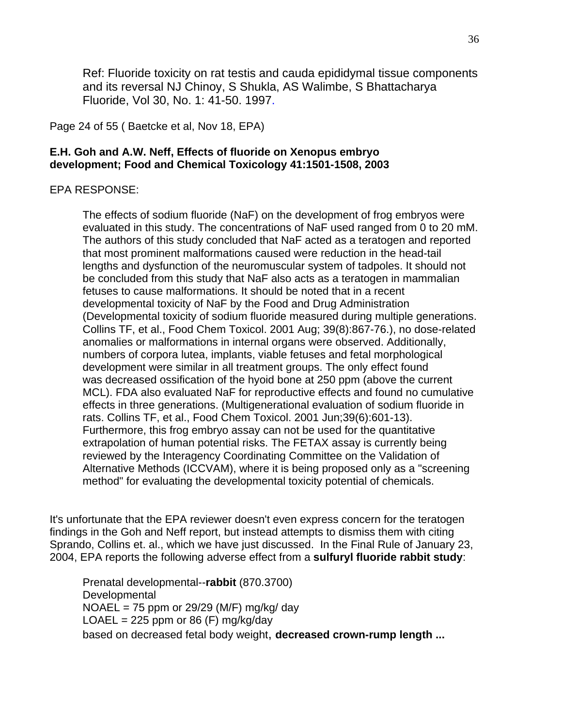Ref: Fluoride toxicity on rat testis and cauda epididymal tissue components and its reversal NJ Chinoy, S Shukla, AS Walimbe, S Bhattacharya Fluoride, Vol 30, No. 1: 41-50. 1997.

Page 24 of 55 ( Baetcke et al, Nov 18, EPA)

#### **E.H. Goh and A.W. Neff, Effects of fluoride on Xenopus embryo development; Food and Chemical Toxicology 41:1501-1508, 2003**

#### EPA RESPONSE:

The effects of sodium fluoride (NaF) on the development of frog embryos were evaluated in this study. The concentrations of NaF used ranged from 0 to 20 mM. The authors of this study concluded that NaF acted as a teratogen and reported that most prominent malformations caused were reduction in the head-tail lengths and dysfunction of the neuromuscular system of tadpoles. It should not be concluded from this study that NaF also acts as a teratogen in mammalian fetuses to cause malformations. It should be noted that in a recent developmental toxicity of NaF by the Food and Drug Administration (Developmental toxicity of sodium fluoride measured during multiple generations. Collins TF, et al., Food Chem Toxicol. 2001 Aug; 39(8):867-76.), no dose-related anomalies or malformations in internal organs were observed. Additionally, numbers of corpora lutea, implants, viable fetuses and fetal morphological development were similar in all treatment groups. The only effect found was decreased ossification of the hyoid bone at 250 ppm (above the current MCL). FDA also evaluated NaF for reproductive effects and found no cumulative effects in three generations. (Multigenerational evaluation of sodium fluoride in rats. Collins TF, et al., Food Chem Toxicol. 2001 Jun;39(6):601-13). Furthermore, this frog embryo assay can not be used for the quantitative extrapolation of human potential risks. The FETAX assay is currently being reviewed by the Interagency Coordinating Committee on the Validation of Alternative Methods (ICCVAM), where it is being proposed only as a "screening method" for evaluating the developmental toxicity potential of chemicals.

It's unfortunate that the EPA reviewer doesn't even express concern for the teratogen findings in the Goh and Neff report, but instead attempts to dismiss them with citing Sprando, Collins et. al., which we have just discussed. In the Final Rule of January 23, 2004, EPA reports the following adverse effect from a **sulfuryl fluoride rabbit study**:

Prenatal developmental--**rabbit** (870.3700) **Developmental** NOAEL = 75 ppm or 29/29 (M/F) mg/kg/ day LOAEL = 225 ppm or 86 (F) mg/kg/day based on decreased fetal body weight, **decreased crown-rump length ...**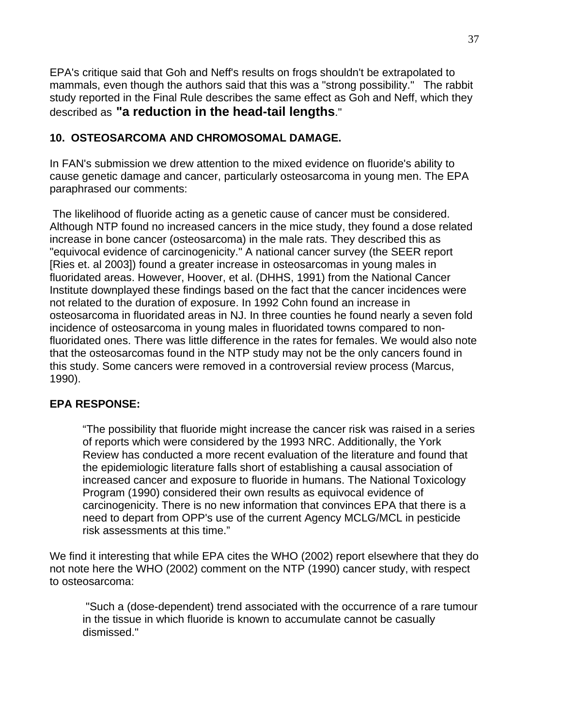EPA's critique said that Goh and Neff's results on frogs shouldn't be extrapolated to mammals, even though the authors said that this was a "strong possibility." The rabbit study reported in the Final Rule describes the same effect as Goh and Neff, which they described as **"a reduction in the head-tail lengths**."

# **10. OSTEOSARCOMA AND CHROMOSOMAL DAMAGE.**

In FAN's submission we drew attention to the mixed evidence on fluoride's ability to cause genetic damage and cancer, particularly osteosarcoma in young men. The EPA paraphrased our comments:

 The likelihood of fluoride acting as a genetic cause of cancer must be considered. Although NTP found no increased cancers in the mice study, they found a dose related increase in bone cancer (osteosarcoma) in the male rats. They described this as "equivocal evidence of carcinogenicity." A national cancer survey (the SEER report [Ries et. al 2003]) found a greater increase in osteosarcomas in young males in fluoridated areas. However, Hoover, et al. (DHHS, 1991) from the National Cancer Institute downplayed these findings based on the fact that the cancer incidences were not related to the duration of exposure. In 1992 Cohn found an increase in osteosarcoma in fluoridated areas in NJ. In three counties he found nearly a seven fold incidence of osteosarcoma in young males in fluoridated towns compared to nonfluoridated ones. There was little difference in the rates for females. We would also note that the osteosarcomas found in the NTP study may not be the only cancers found in this study. Some cancers were removed in a controversial review process (Marcus, 1990).

# **EPA RESPONSE:**

"The possibility that fluoride might increase the cancer risk was raised in a series of reports which were considered by the 1993 NRC. Additionally, the York Review has conducted a more recent evaluation of the literature and found that the epidemiologic literature falls short of establishing a causal association of increased cancer and exposure to fluoride in humans. The National Toxicology Program (1990) considered their own results as equivocal evidence of carcinogenicity. There is no new information that convinces EPA that there is a need to depart from OPP's use of the current Agency MCLG/MCL in pesticide risk assessments at this time."

We find it interesting that while EPA cites the WHO (2002) report elsewhere that they do not note here the WHO (2002) comment on the NTP (1990) cancer study, with respect to osteosarcoma:

 "Such a (dose-dependent) trend associated with the occurrence of a rare tumour in the tissue in which fluoride is known to accumulate cannot be casually dismissed."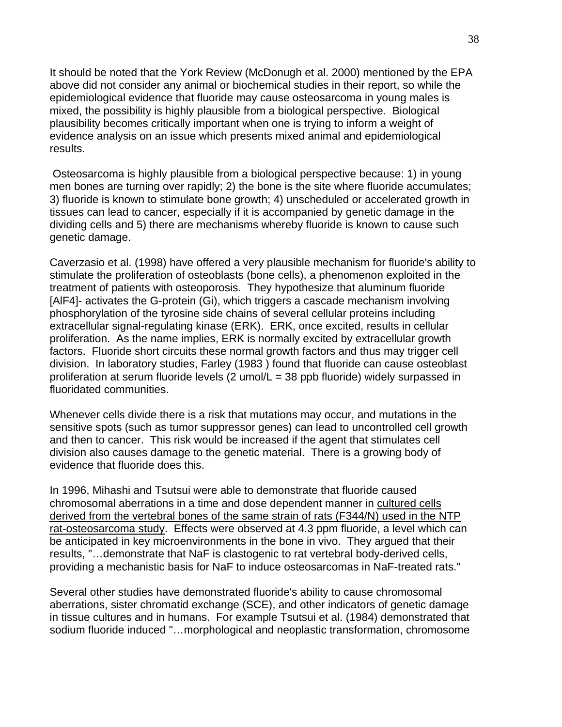It should be noted that the York Review (McDonugh et al. 2000) mentioned by the EPA above did not consider any animal or biochemical studies in their report, so while the epidemiological evidence that fluoride may cause osteosarcoma in young males is mixed, the possibility is highly plausible from a biological perspective. Biological plausibility becomes critically important when one is trying to inform a weight of evidence analysis on an issue which presents mixed animal and epidemiological results.

 Osteosarcoma is highly plausible from a biological perspective because: 1) in young men bones are turning over rapidly; 2) the bone is the site where fluoride accumulates; 3) fluoride is known to stimulate bone growth; 4) unscheduled or accelerated growth in tissues can lead to cancer, especially if it is accompanied by genetic damage in the dividing cells and 5) there are mechanisms whereby fluoride is known to cause such genetic damage.

Caverzasio et al. (1998) have offered a very plausible mechanism for fluoride's ability to stimulate the proliferation of osteoblasts (bone cells), a phenomenon exploited in the treatment of patients with osteoporosis. They hypothesize that aluminum fluoride [AlF4]- activates the G-protein (Gi), which triggers a cascade mechanism involving phosphorylation of the tyrosine side chains of several cellular proteins including extracellular signal-regulating kinase (ERK). ERK, once excited, results in cellular proliferation. As the name implies, ERK is normally excited by extracellular growth factors. Fluoride short circuits these normal growth factors and thus may trigger cell division. In laboratory studies, Farley (1983 ) found that fluoride can cause osteoblast proliferation at serum fluoride levels (2 umol/L = 38 ppb fluoride) widely surpassed in fluoridated communities.

Whenever cells divide there is a risk that mutations may occur, and mutations in the sensitive spots (such as tumor suppressor genes) can lead to uncontrolled cell growth and then to cancer. This risk would be increased if the agent that stimulates cell division also causes damage to the genetic material. There is a growing body of evidence that fluoride does this.

In 1996, Mihashi and Tsutsui were able to demonstrate that fluoride caused chromosomal aberrations in a time and dose dependent manner in cultured cells derived from the vertebral bones of the same strain of rats (F344/N) used in the NTP rat-osteosarcoma study. Effects were observed at 4.3 ppm fluoride, a level which can be anticipated in key microenvironments in the bone in vivo. They argued that their results, "…demonstrate that NaF is clastogenic to rat vertebral body-derived cells, providing a mechanistic basis for NaF to induce osteosarcomas in NaF-treated rats."

Several other studies have demonstrated fluoride's ability to cause chromosomal aberrations, sister chromatid exchange (SCE), and other indicators of genetic damage in tissue cultures and in humans. For example Tsutsui et al. (1984) demonstrated that sodium fluoride induced "…morphological and neoplastic transformation, chromosome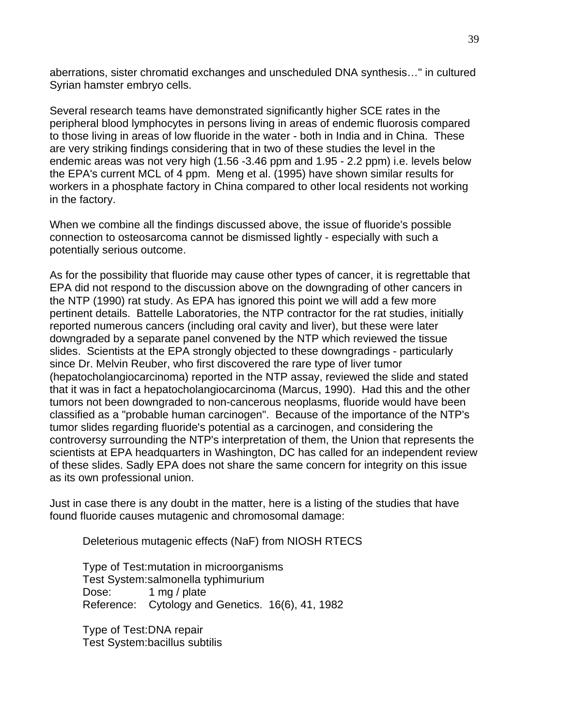aberrations, sister chromatid exchanges and unscheduled DNA synthesis…" in cultured Syrian hamster embryo cells.

Several research teams have demonstrated significantly higher SCE rates in the peripheral blood lymphocytes in persons living in areas of endemic fluorosis compared to those living in areas of low fluoride in the water - both in India and in China. These are very striking findings considering that in two of these studies the level in the endemic areas was not very high (1.56 -3.46 ppm and 1.95 - 2.2 ppm) i.e. levels below the EPA's current MCL of 4 ppm. Meng et al. (1995) have shown similar results for workers in a phosphate factory in China compared to other local residents not working in the factory.

When we combine all the findings discussed above, the issue of fluoride's possible connection to osteosarcoma cannot be dismissed lightly - especially with such a potentially serious outcome.

As for the possibility that fluoride may cause other types of cancer, it is regrettable that EPA did not respond to the discussion above on the downgrading of other cancers in the NTP (1990) rat study. As EPA has ignored this point we will add a few more pertinent details. Battelle Laboratories, the NTP contractor for the rat studies, initially reported numerous cancers (including oral cavity and liver), but these were later downgraded by a separate panel convened by the NTP which reviewed the tissue slides. Scientists at the EPA strongly objected to these downgradings - particularly since Dr. Melvin Reuber, who first discovered the rare type of liver tumor (hepatocholangiocarcinoma) reported in the NTP assay, reviewed the slide and stated that it was in fact a hepatocholangiocarcinoma (Marcus, 1990). Had this and the other tumors not been downgraded to non-cancerous neoplasms, fluoride would have been classified as a "probable human carcinogen". Because of the importance of the NTP's tumor slides regarding fluoride's potential as a carcinogen, and considering the controversy surrounding the NTP's interpretation of them, the Union that represents the scientists at EPA headquarters in Washington, DC has called for an independent review of these slides. Sadly EPA does not share the same concern for integrity on this issue as its own professional union.

Just in case there is any doubt in the matter, here is a listing of the studies that have found fluoride causes mutagenic and chromosomal damage:

Deleterious mutagenic effects (NaF) from NIOSH RTECS

Type of Test:mutation in microorganisms Test System:salmonella typhimurium Dose: 1 mg / plate Reference: Cytology and Genetics. 16(6), 41, 1982

Type of Test:DNA repair Test System:bacillus subtilis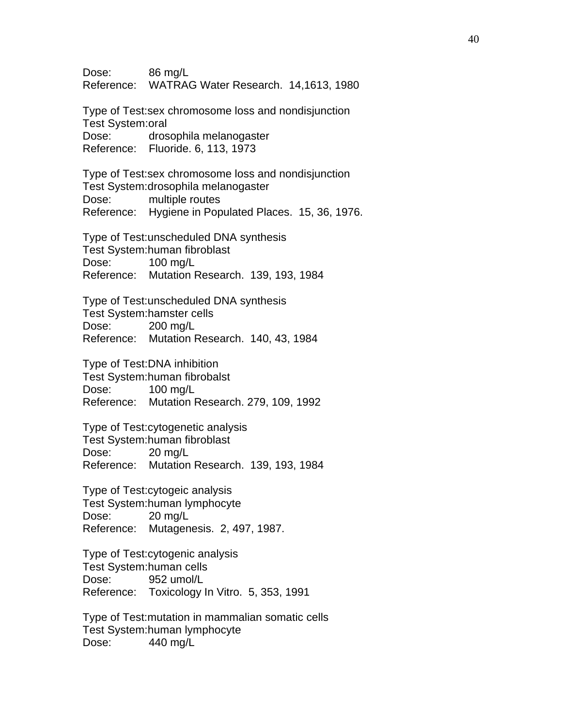Dose: 86 mg/L Reference: WATRAG Water Research. 14,1613, 1980 Type of Test:sex chromosome loss and nondisjunction Test System:oral Dose: drosophila melanogaster Reference: Fluoride. 6, 113, 1973 Type of Test:sex chromosome loss and nondisjunction Test System:drosophila melanogaster Dose: multiple routes Reference: Hygiene in Populated Places. 15, 36, 1976. Type of Test:unscheduled DNA synthesis Test System:human fibroblast Dose: 100 mg/L Reference: Mutation Research. 139, 193, 1984 Type of Test:unscheduled DNA synthesis Test System:hamster cells Dose: 200 mg/L Reference: Mutation Research. 140, 43, 1984 Type of Test:DNA inhibition Test System:human fibrobalst Dose: 100 mg/L Reference: Mutation Research. 279, 109, 1992 Type of Test:cytogenetic analysis Test System:human fibroblast Dose: 20 mg/L Reference: Mutation Research. 139, 193, 1984 Type of Test:cytogeic analysis Test System:human lymphocyte Dose: 20 mg/L Reference: Mutagenesis. 2, 497, 1987. Type of Test:cytogenic analysis Test System:human cells Dose: 952 umol/L Reference: Toxicology In Vitro. 5, 353, 1991 Type of Test:mutation in mammalian somatic cells Test System:human lymphocyte

Dose: 440 mg/L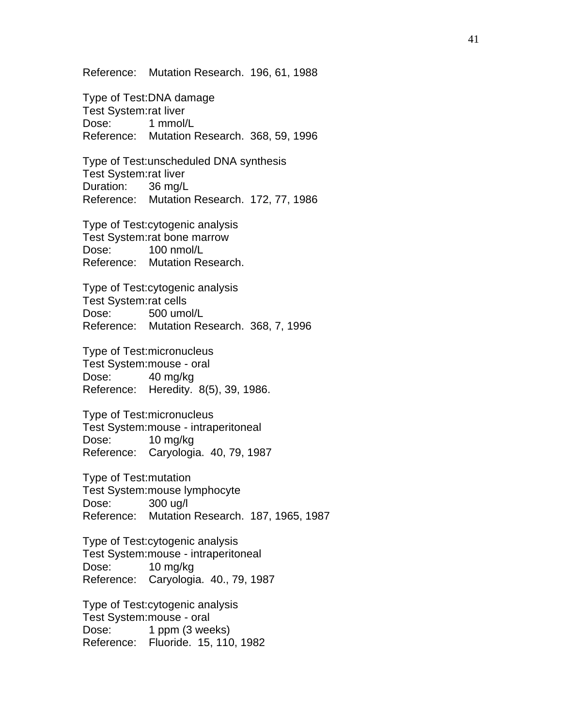Reference: Mutation Research. 196, 61, 1988

Type of Test:DNA damage Test System:rat liver Dose: 1 mmol/L Reference: Mutation Research. 368, 59, 1996

Type of Test:unscheduled DNA synthesis Test System:rat liver Duration: 36 mg/L Reference: Mutation Research. 172, 77, 1986

Type of Test:cytogenic analysis Test System:rat bone marrow Dose: 100 nmol/L Reference: Mutation Research.

Type of Test:cytogenic analysis Test System:rat cells Dose: 500 umol/L Reference: Mutation Research. 368, 7, 1996

Type of Test:micronucleus Test System:mouse - oral Dose: 40 mg/kg Reference: Heredity. 8(5), 39, 1986.

Type of Test:micronucleus Test System:mouse - intraperitoneal Dose: 10 mg/kg Reference: Caryologia. 40, 79, 1987

Type of Test:mutation Test System:mouse lymphocyte Dose: 300 ug/l Reference: Mutation Research. 187, 1965, 1987

Type of Test:cytogenic analysis Test System:mouse - intraperitoneal Dose: 10 mg/kg Reference: Caryologia. 40., 79, 1987

Type of Test:cytogenic analysis Test System:mouse - oral Dose: 1 ppm (3 weeks) Reference: Fluoride. 15, 110, 1982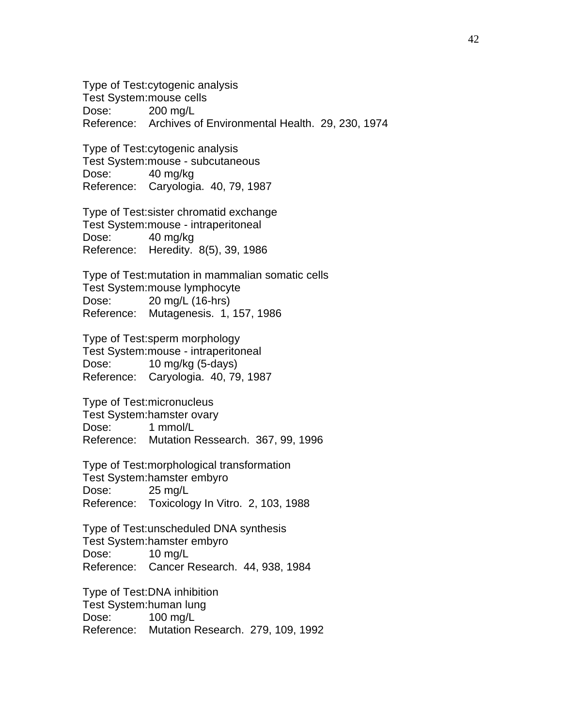Type of Test:cytogenic analysis Test System:mouse cells Dose: 200 mg/L Reference: Archives of Environmental Health. 29, 230, 1974

Type of Test:cytogenic analysis Test System:mouse - subcutaneous Dose: 40 mg/kg Reference: Caryologia. 40, 79, 1987

Type of Test:sister chromatid exchange Test System:mouse - intraperitoneal Dose: 40 mg/kg Reference: Heredity. 8(5), 39, 1986

Type of Test:mutation in mammalian somatic cells Test System:mouse lymphocyte Dose: 20 mg/L (16-hrs) Reference: Mutagenesis. 1, 157, 1986

Type of Test:sperm morphology Test System:mouse - intraperitoneal Dose: 10 mg/kg (5-days) Reference: Caryologia. 40, 79, 1987

Type of Test:micronucleus Test System:hamster ovary Dose: 1 mmol/L Reference: Mutation Ressearch. 367, 99, 1996

Type of Test:morphological transformation Test System:hamster embyro Dose: 25 mg/L Reference: Toxicology In Vitro. 2, 103, 1988

Type of Test:unscheduled DNA synthesis Test System:hamster embyro Dose: 10 mg/L Reference: Cancer Research. 44, 938, 1984

Type of Test:DNA inhibition Test System:human lung Dose: 100 mg/L Reference: Mutation Research. 279, 109, 1992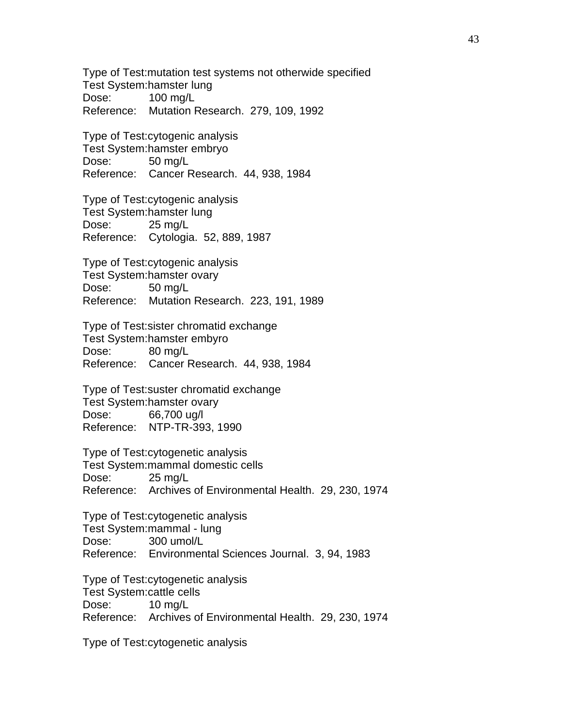Type of Test:mutation test systems not otherwide specified Test System:hamster lung Dose: 100 mg/L Reference: Mutation Research. 279, 109, 1992

Type of Test:cytogenic analysis Test System:hamster embryo Dose: 50 mg/L Reference: Cancer Research. 44, 938, 1984

Type of Test:cytogenic analysis Test System:hamster lung Dose: 25 mg/L Reference: Cytologia. 52, 889, 1987

Type of Test:cytogenic analysis Test System:hamster ovary Dose: 50 mg/L Reference: Mutation Research. 223, 191, 1989

Type of Test:sister chromatid exchange Test System:hamster embyro Dose: 80 mg/L Reference: Cancer Research. 44, 938, 1984

Type of Test:suster chromatid exchange Test System:hamster ovary Dose: 66,700 ug/l Reference: NTP-TR-393, 1990

Type of Test:cytogenetic analysis Test System:mammal domestic cells Dose: 25 mg/L Reference: Archives of Environmental Health. 29, 230, 1974

Type of Test:cytogenetic analysis Test System:mammal - lung Dose: 300 umol/L Reference: Environmental Sciences Journal. 3, 94, 1983

Type of Test:cytogenetic analysis Test System:cattle cells Dose: 10 mg/L Reference: Archives of Environmental Health. 29, 230, 1974

Type of Test:cytogenetic analysis